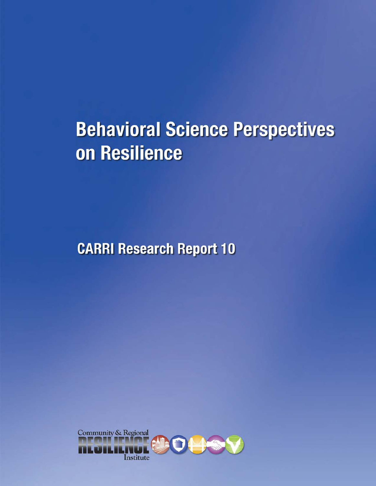# **Behavioral Science Perspectives** on Resilience

**CARRI Research Report 10** 

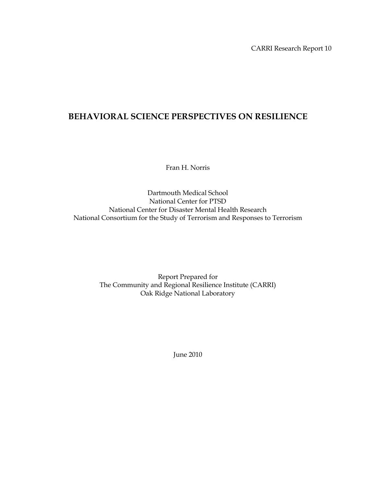# **BEHAVIORAL SCIENCE PERSPECTIVES ON RESILIENCE**

Fran H. Norris

Dartmouth Medical School National Center for PTSD National Center for Disaster Mental Health Research National Consortium for the Study of Terrorism and Responses to Terrorism

> Report Prepared for The Community and Regional Resilience Institute (CARRI) Oak Ridge National Laboratory

> > June 2010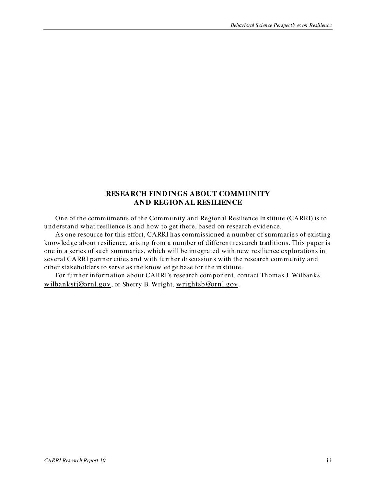### **RESEARCH FINDINGS ABOUT COMMUNITY AND REGIONAL RESILIENCE**

<span id="page-4-0"></span>One of the commitments of the Community and Regional Resilience In stitute (CARRI) is to understand what resilience is and how to get there, based on research evidence.

As one resource for this effort, CARRI has commissioned a number of summaries of existing knowledge about resilience, arising from a number of different research traditions. This paper is one in a series of such summaries, which will be integrated with new resilience explorations in several CARRI partner cities and with further discussions with the research community and other stakeholders to serve as the knowledge base for the in stitute.

For further information about CARRI's research component, contact Thomas J. Wilbanks, [wilbankstj@ornl.gov](mailto:wilbankstj@ornl.gov), or Sherry B. Wright, [wrightsb@ornl.gov](mailto:wrightsb@ornl.gov).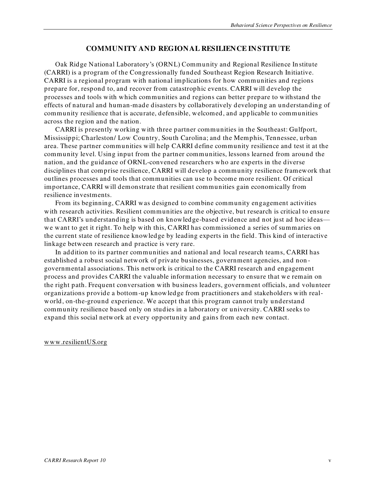#### **COMMUNITY AND REGIONAL RESILIENCE IN STITUTE**

<span id="page-6-0"></span>Oak Ridge National Laboratory's (ORNL) Community and Regional Resilience In stitute (CARRI) is a program of the Congressionally funded Southeast Region Research Initiative. CARRI is a regional program with national implications for how communities and regions prepare for, respond to, and recover from catastrophic events. CARRI will develop the processes and tools with which communities and regions can better prepare to withstand the effects of natural and human-made disasters by collaboratively developing an understanding of community resilience that is accurate, defensible, welcomed, and applicable to communities across the region and the nation.

CARRI is presently working with three partner communities in the Southeast: Gulfport, Mississippi; Charleston/ Low Country, South Carolina; and the Memphis, Tennessee, urban area. These partner communities will help CARRI define community resilience and test it at the community level. Using input from the partner communities, lessons learned from around the nation, and the guidance of ORNL-convened researchers who are experts in the diverse disciplines that comprise resilience, CARRI will develop a community resilience framework that outlines processes and tools that communities can use to become more resilient. Of critical importance, CARRI will demonstrate that resilient communities gain economically from resilience investments.

From its beginning, CARRI was designed to combine community engagement activities with research activities. Resilient communities are the objective, but research is critical to ensure that CARRI's understanding is based on knowledge-based evidence and not just ad hoc ideas we want to get it right. To help with this, CARRI has commissioned a series of summaries on the current state of resilience knowledge by leading experts in the field. This kind of interactive linkage between research and practice is very rare.

In addition to its partner communities and national and local research teams, CARRI has established a robust social network of private businesses, government agencies, and non governmental associations. This network is critical to the CARRI research and engagement process and provides CARRI the valuable information necessary to ensure that we remain on the right path. Frequent conversation with business leaders, government officials, and volunteer organizations provide a bottom -up knowledge from practitioners and stakeholders with realworld, on-the-ground experience. We accept that this program cannot truly understand community resilience based only on studies in a laboratory or university. CARRI seeks to expand this social network at every opportunity and gains from each new contact.

#### [www.resilientUS.org](http://www.resilientus.org/)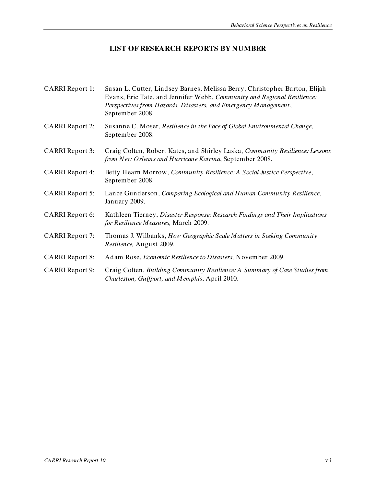# **LIST OF RESEARCH REPORTS BY NUMBER**

<span id="page-8-0"></span>

| <b>CARRI Report 1:</b> | Susan L. Cutter, Lindsey Barnes, Melissa Berry, Christopher Burton, Elijah<br>Evans, Eric Tate, and Jennifer Webb, Community and Regional Resilience:<br>Perspectives from Hazards, Disasters, and Emergency Management,<br>September 2008. |
|------------------------|---------------------------------------------------------------------------------------------------------------------------------------------------------------------------------------------------------------------------------------------|
| <b>CARRI Report 2:</b> | Susanne C. Moser, Resilience in the Face of Global Environmental Change,<br>September 2008.                                                                                                                                                 |
| <b>CARRI Report 3:</b> | Craig Colten, Robert Kates, and Shirley Laska, Community Resilience: Lessons<br>from New Orleans and Hurricane Katrina, September 2008.                                                                                                     |
| <b>CARRI Report 4:</b> | Betty Hearn Morrow, Community Resilience: A Social Justice Perspective,<br>September 2008.                                                                                                                                                  |
| <b>CARRI Report 5:</b> | Lance Gunderson, Comparing Ecological and Human Community Resilience,<br>January 2009.                                                                                                                                                      |
| <b>CARRI Report 6:</b> | Kathleen Tierney, Disaster Response: Research Findings and Their Implications<br>for Resilience Measures, March 2009.                                                                                                                       |
| <b>CARRI Report 7:</b> | Thomas J. Wilbanks, How Geographic Scale Matters in Seeking Community<br>Resilience, August 2009.                                                                                                                                           |
| <b>CARRI Report 8:</b> | Adam Rose, <i>Economic Resilience to Disasters</i> , November 2009.                                                                                                                                                                         |
| <b>CARRI Report 9:</b> | Craig Colten, Building Community Resilience: A Summary of Case Studies from<br>Charleston, Gulfport, and Memphis, April 2010.                                                                                                               |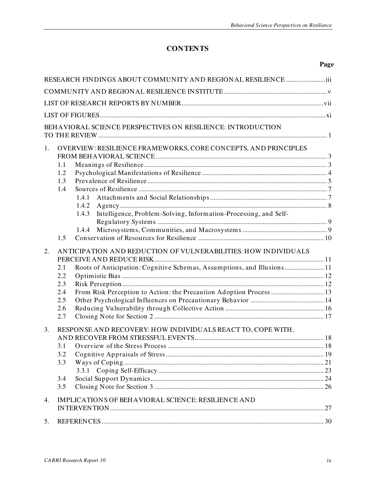# **CONTENTS**

#### **Page**

|    | RESEARCH FINDINGS ABOUT COMMUNITY AND REGIONAL RESILIENCE                                                                                                                                                                                                         |  |  |  |  |
|----|-------------------------------------------------------------------------------------------------------------------------------------------------------------------------------------------------------------------------------------------------------------------|--|--|--|--|
|    |                                                                                                                                                                                                                                                                   |  |  |  |  |
|    |                                                                                                                                                                                                                                                                   |  |  |  |  |
|    |                                                                                                                                                                                                                                                                   |  |  |  |  |
|    | BEHAVIORAL SCIENCE PERSPECTIVES ON RESILIENCE: INTRODUCTION                                                                                                                                                                                                       |  |  |  |  |
|    |                                                                                                                                                                                                                                                                   |  |  |  |  |
| 1. | OVERVIEW: RESILIENCE FRAMEWORKS, CORE CONCEPTS, AND PRINCIPLES<br>1.1<br>1.2<br>1.3<br>1.4<br>1.4.1                                                                                                                                                               |  |  |  |  |
|    | 1.4.2<br>Intelligence, Problem-Solving, Information-Processing, and Self-<br>1.4.3<br>1.4.4<br>1.5                                                                                                                                                                |  |  |  |  |
| 2. | ANTICIPATION AND REDUCTION OF VULNERABILITIES: HOW INDIVIDUALS<br>Roots of Anticipation: Cognitive Schemas, Assumptions, and Illusions 11<br>2.1<br>2.2<br>2.3<br>From Risk Perception to Action: the Precaution Adoption Process  13<br>2.4<br>2.5<br>2.6<br>2.7 |  |  |  |  |
| 3. | RESPONSE AND RECOVERY: HOW INDIVIDUALS REACT TO, COPE WITH,<br>3.2<br>3.3<br>3.4<br>3.5                                                                                                                                                                           |  |  |  |  |
| 4. | IMPLICATIONS OF BEHAVIORAL SCIENCE: RESILIENCE AND                                                                                                                                                                                                                |  |  |  |  |
| 5. |                                                                                                                                                                                                                                                                   |  |  |  |  |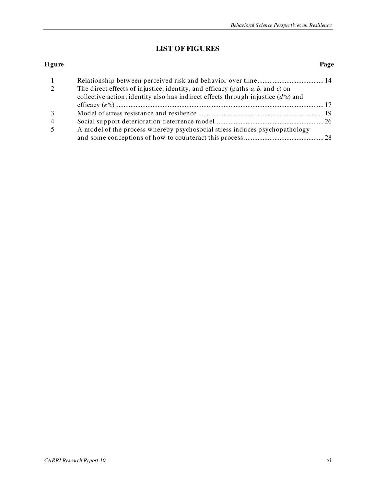# **LIST OF FIGURES**

#### <span id="page-12-0"></span>**Figure** Page

| The direct effects of injustice, identity, and efficacy (paths $a, b$ , and $c$ ) on |  |
|--------------------------------------------------------------------------------------|--|
| collective action; identity also has indirect effects through injustice $(d^*a)$ and |  |
|                                                                                      |  |
|                                                                                      |  |
|                                                                                      |  |
| A model of the process whereby psychosocial stress induces psychopathology           |  |
|                                                                                      |  |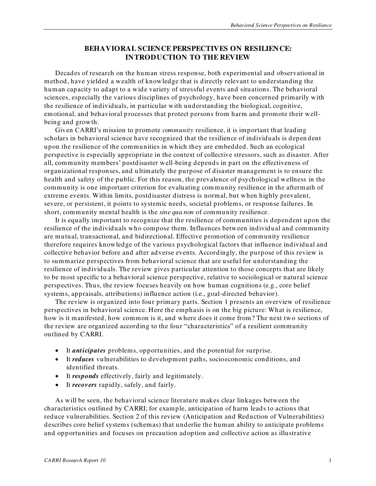# **BEHAVIORAL SCIENCE PERSPECTIVES ON RESILIENCE: INTRODUCTION TO THE REVIEW**

<span id="page-14-0"></span>Decades of research on the human stress response, both experimental and observational in method, have yielded a wealth of knowledge that is directly relevant to understanding the human capacity to adapt to a wide variety of stressful events and situations. The behavioral sciences, especially the various disciplines of psychology, have been concerned primarily with the resilience of individuals, in particular with understanding the biological, cognitive, emotional, and behavioral processes that protect persons from harm and promote their wellbeing and growth.

Given CARRI's mission to promote *community* resilience, it is important that leading scholars in behavioral science have recognized that the resilience of individuals is depen dent upon the resilience of the communities in which they are embedded. Such an ecological perspective is especially appropriate in the context of collective stressors, such as disaster. After all, community members' postdisaster well-being depends in part on the effectiveness of organizational responses, and u ltimately the purpose of disaster management is to ensure the health and safety of the public. For this reason, the prevalence of psychological wellness in the community is one important criterion for evaluating community resilience in the aftermath of extreme events. Within limits, postdisaster distress is normal, but when highly prevalent, severe, or persistent, it points to systemic needs, societal problems, or response failures. In short, community mental health is the *sine qua non* of community resilience.

It is equally important to recognize that the resilience of communities is dependent upon the resilience of the individuals who compose them. Influences between individual and community are mutual, transactional, and bidirectional. Effective promotion of community resilience therefore requires knowledge of the various psychological factors that influence individual and collective behavior before and after adverse events. Accordingly, the purpose of this review is to summarize perspectives from behavioral science that are useful for understanding the resilience of individuals. The review gives particular attention to those concepts that are likely to be most specific to a behavioral science perspective, relative to sociological or natural science perspectives. Thus, the review focuses heavily on how human cognitions (e.g., core belief systems, appraisals, attributions) influence action (i.e., goal-directed behavior).

The review is organized into four primary parts. Section 1 presents an overview of resilience perspectives in behavioral science. Here the emphasis is on the big picture: What is resilience, how is it manifested, how common is it, and where does it come from? The next two sections of the review are organized according to the four "characteristics" of a resilient community outlined by CARRI.

- It *anticipates* problems, opportunities, and the potential for surprise.
- It *reduces* vulnerabilities to development paths, socioeconomic conditions, and identified threats.
- It *responds* effectively, fairly and legitimately.
- It *recovers* rapidly, safely, and fairly.

As will be seen, the behavioral science literature makes clear linkages between the characteristics outlined by CARRI; for example, anticipation of harm leads to actions that reduce vulnerabilities. Section 2 of this review (Anticipation and Reduction of Vulnerabilities) describes core belief systems (schemas) that underlie the human ability to anticipate problems and opportunities and focuses on precaution adoption and collective action as illustrative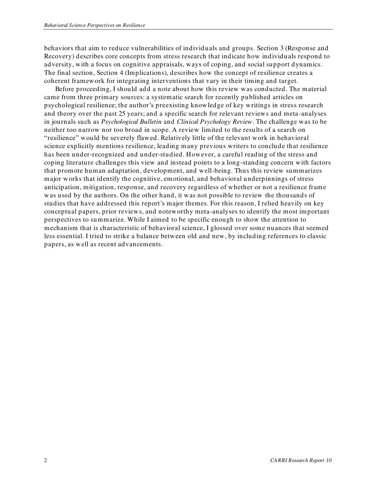behaviors that aim to reduce vulnerabilities of individuals and groups. Section 3 (Response and Recovery) describes core concepts from stress research that indicate how individuals respond to adversity, with a focus on cognitive appraisals, ways of coping, and social support dynamics. The final section, Section 4 (Implications), describes how the concept of resilience creates a coherent framework for integrating interventions that vary in their timing and target.

Before proceeding, I should add a note about how this review was conducted. The material came from three primary sources: a systematic search for recently published articles on psychological resilience; the author's preexisting knowledge of key writings in stress research and theory over the past 25 years; and a specific search for relevant reviews and meta -analyses in journals such as *Psychological Bulletin* and *Clinical Psychology Review*. The challenge was to be neither too narrow nor too broad in scope. A review limited to the results of a search on ―resilience‖ would be severely flawed. Relatively little of the relevant work in behavioral science explicitly mentions resilience, leading many previous writers to conclude that resilience has been under-recognized and under-studied. However, a careful reading of the stress and coping literature challenges this view and instead points to a long-standing concern with factors that promote human adaptation, development, and well-being. Thus this review summarizes major works that identify the cognitive, emotional, and behavioral underpinnings of stress anticipation, mitigation, response, and recovery regardless of whether or not a resilience frame was used by the authors. On the other hand, it was not possible to review the thousands of studies that have addressed this report's major themes. For this reason, I relied heavily on key conceptual papers, prior reviews, and noteworthy meta-analyses to identify the most important perspectives to summarize. While I aimed to be specific enough to show the attention to mechanism that is characteristic of behavioral science, I glossed over some nuances that seemed less essential. I tried to strike a balance between old and new, by including references to classic papers, as well as recent advancements.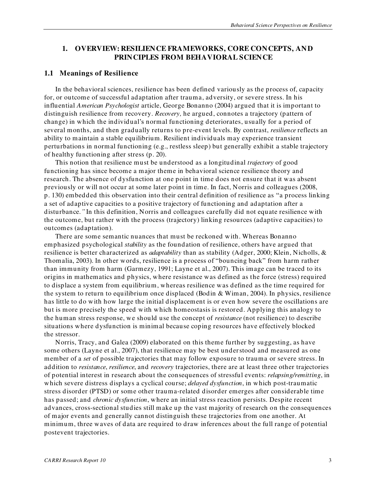### <span id="page-16-0"></span>**1. OVERVIEW: RESILIENCE FRAMEWORKS, CORE CONCEPTS, AND PRINCIPLES FROM BEHAVIORAL SCIENCE**

#### <span id="page-16-1"></span>**1.1 Meanings of Resilience**

In the behavioral sciences, resilience has been defined variously as the process of, capacity for, or outcome of successful adaptation after trauma, adversity, or severe stress. In his influential *American Psychologist* article, George Bonanno (2004) argued that it is important to distinguish resilience from recovery. *Recovery,* he argued, connotes a trajectory (pattern of change) in which the individual's normal functioning deteriorates, usually for a period of several months, and then gradually returns to pre-event levels. By contrast, *resilience* reflects an ability to maintain a stable equilibrium. Resilient individuals may experience transient perturbations in normal functioning (e.g., restless sleep) but generally exhibit a stable trajectory of healthy functioning after stress (p. 20).

This notion that resilience must be understood as a longitudinal *trajectory* of good functioning has since become a major theme in behavioral science resilience theory and research. The absence of dysfunction at one point in time does not ensure that it was absent previously or will not occur at some later point in time. In fact, Norris and colleagues (2008, p. 130) embedded this observation into their central definition of resilience as "a process linking a set of adaptive capacities to a positive trajectory of functioning and adaptation after a disturbance*."* In this definition, Norris and colleagues carefully did not equate resilience with the outcome, but rather with the process (trajectory) linking resources (adaptive capacities) to outcomes (adaptation).

There are some semantic nuances that must be reckoned with. Whereas Bonanno emphasized psychological *stability* as the foundation of resilience, others have argued that resilience is better characterized as *adaptability* than as stability (Adger, 2000; Klein, Nicholls, & Thomalia, 2003). In other words, resilience is a process of "bouncing back" from harm rather than immunity from harm (Garmezy, 1991; Layne et al., 2007). This image can be traced to its origins in mathematics and physics, where resistance was defined as the force (stress) required to displace a system from equilibrium, whereas resilience was defined as the time required for the system to return to equilibrium once displaced (Bodin & Wiman, 2004). In physics, resilience has little to do with how large the initial displacement is or even how severe the oscillations are but is more precisely the speed with which homeostasis is restored. Applying this analogy to the human stress response, we should use the concept of *resistance* (not resilience) to describe situations where dysfunction is minimal because coping resources have effectively blocked the stressor.

Norris, Tracy, and Galea (2009) elaborated on this theme further by suggesting, as have some others (Layne et al., 2007), that resilience may be best understood and measured as one member of a *set* of possible trajectories that may follow exposure to trauma or severe stress. In addition to *resistance*, *resilience*, and *recovery* trajectories, there are at least three other trajectories of potential interest in research about the consequences of stressful events: *relapsing/remitting*, in which severe distress displays a cyclical course; *delayed dysfunction*, in which post-traumatic stress disorder (PTSD) or some other trauma-related disorder emerges after considerable time has passed; and *chronic dysfunction*, where an initial stress reaction persists. Despite recent advances, cross-sectional studies still make up the vast majority of research on the consequences of major events and generally cannot distinguish these trajectories from one another. At minimum, three waves of data are required to draw inferences about the full range of potential postevent trajectories.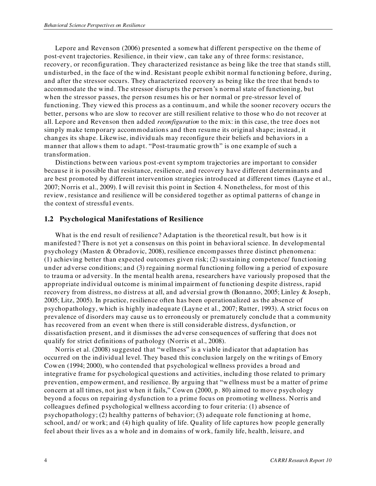Lepore and Revenson (2006) presented a somewhat different perspective on the theme of post-event trajectories. Resilience, in their view, can take any of three forms: resistance, recovery, or reconfiguration. They characterized resistance as being like the tree that stands still, undisturbed, in the face of the wind. Resistant people exhibit normal fu nctioning before, during, and after the stressor occurs. They characterized recovery as being like the tree that bends to accommodate the wind. The stressor disrupts the person's normal state of functioning, but when the stressor passes, the person resumes his or her normal or pre-stressor level of functioning. They viewed this process as a continuum, and while the sooner recovery occurs the better, persons who are slow to recover are still resilient relative to those who do not recover at all. Lepore and Revenson then added *reconfiguration* to the mix: in this case, the tree does not simply make temporary accommodation s and then resume its original shape; instead, it changes its shape. Likewise, individuals may reconfigure their beliefs and behaviors in a manner that allows them to adapt. "Post-traumatic growth" is one example of such a transformation.

Distinctions between various post-event symptom trajectories are important to consider because it is possible that resistance, resilience, and recovery have different determinants and are best promoted by different intervention strategies introduced at different times (Layne et al., 2007; Norris et al., 2009). I will revisit this point in Section 4. Nonetheless, for most of this review, resistance and resilience will be considered together as optimal patterns of change in the context of stressful events.

#### <span id="page-17-0"></span>**1.2 Psychological Manifestations of Resilience**

What is the end result of resilience? Adaptation is the theoretical result, but how is it manifested? There is not yet a consensus on this point in behavioral science. In developmental psychology (Masten & Obradovic, 2008), resilience encompasses three distinct phenomena: (1) achieving better than expected outcomes given risk; (2) sustaining competence/ funct ioning under adverse conditions; and (3) regaining normal functioning following a period of exposure to trauma or adversity. In the mental health arena, researchers have variously proposed that the appropriate individual outcome is minimal impairment of fu nctioning despite distress, rapid recovery from distress, no distress at all, and adversial growth (Bonanno, 2005; Linley & Joseph, 2005; Litz, 2005). In practice, resilience often has been operationalized as the absence of psychopathology, which is highly inadequate (Layne et al., 2007; Rutter, 1993). A strict focus on prevalence of disorders may cause us to erroneously or prematurely conclude that a community has recovered from an event when there is still considerable distress, dysfunction, or dissatisfaction present, and it dismisses the adverse consequences of suffering that does not qualify for strict definitions of pathology (Norris et al., 2008).

Norris et al. (2008) suggested that "wellness" is a viable indicator that adaptation has occurred on the individual level. They based this conclusion largely on the writings of Emory Cowen (1994; 2000), who contended that psychological wellness provides a broad and integrative frame for psychological questions and activities, including those related to primary prevention, empowerment, and resilience. By arguing that "wellness must be a matter of prime concern at all times, not just when it fails," Cowen (2000, p. 80) aimed to move psychology beyond a focus on repairing dysfunction to a prime focus on promoting wellness. Norris and colleagues defined psychological wellness according to four criteria: (1) absence of psychopathology; (2) healthy patterns of behavior; (3) adequate role functioning at home, school, and/ or work; and (4) high quality of life. Quality of life captures how people generally feel about their lives as a whole and in domains of work, family life, health, leisure, and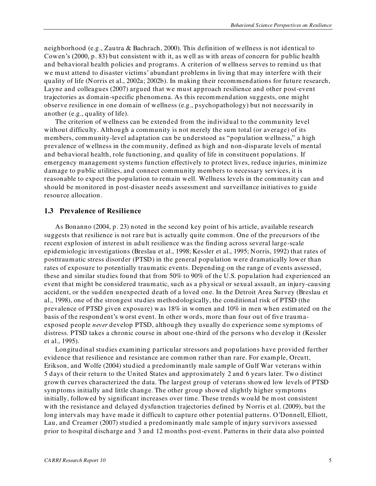neighborhood (e.g., Zautra & Bachrach, 2000). This definition of wellness is not identical to Cowen's (2000, p. 83) but consistent with it, as well as with areas of concern for public health and behavioral health policies and programs. A criterion of wellness serves to remind us that we must attend to disaster victims' abundant problems in living that may interfere with their quality of life (Norris et al., 2002a; 2002b). In making their recommendations for future research, Layne and colleagues (2007) argued that we must approach resilience and other post-event trajectories as domain-specific phenomena. As this recommendation suggests, one might observe resilience in one domain of wellness (e.g., psychopathology) but not necessarily in another (e.g., quality of life).

The criterion of wellness can be extended from the individual to the community level without difficulty. Although a community is not merely the sum total (or average) of its members, community-level adaptation can be understood as "population wellness," a high prevalence of wellness in the com munity, defined as high and non-disparate levels of mental and behavioral health, role functioning, and quality of life in constituent populations. If emergency management systems function effectively to protect lives, reduce injuries, minimize damage to public utilities, and connect community members to necessary services, it is reasonable to expect the population to remain well. Wellness levels in the community can and should be monitored in post-disaster needs assessment and surveillance initiatives to guide resource allocation.

#### <span id="page-18-0"></span>**1.3 Prevalence of Resilience**

As Bonanno (2004, p. 23) noted in the second key point of his article, available research suggests that resilience is not rare but is actually quite common. One of the precursors of the recent explosion of interest in adult resilience was the finding across several large-scale epidemiologic investigations (Breslau et al., 1998; Kessler et al., 1995; Norris, 1992) that rates of posttraumatic stress disorder (PTSD) in the general population were dramatically lower than rates of exposure to potentially traumatic events. Depending on the range of events assessed, these and similar studies found that from 50% to 90% of the U.S. population had experienced an event that might be considered traumatic, such as a physical or sexual assault, an injury-causing accident, or the sudden unexpected death of a loved one. In the Detroit Area Survey (Breslau et al., 1998), one of the strongest studies methodologically, the conditional risk of PTSD (the prevalence of PTSD given exposure) was 18% in women and 10% in men when estimated on the basis of the respondent's worst event. In other words, more than four out of five traumaexposed people *never* develop PTSD, although they usually do experience some symptoms of distress. PTSD takes a chronic course in about one-third of the persons who develop it (Kessler et al., 1995).

Longitudinal studies examining particular stressors and populations have provided further evidence that resilience and resistance are common rather than rare. For example, Orcutt, Erikson, and Wolfe (2004) studied a predominantly male sample of Gulf War veterans within 5 days of their return to the United States and approximately 2 and 6 years later. Two distinct growth curves characterized the data. The largest group of veterans showed low levels of PTSD symptoms initially and little change. The other group showed slightly higher symptoms initially, followed by significant increases over time. These trends would be m ost consistent with the resistance and delayed dysfunction trajectories defined by Norris et al. (2009), but the long intervals may have made it difficult to capture other potential patterns. O'Donnell, Elliott, Lau, and Creamer (2007) studied a predominantly male sample of injury survivors assessed prior to hospital discharge and 3 and 12 months post-event. Patterns in their data also pointed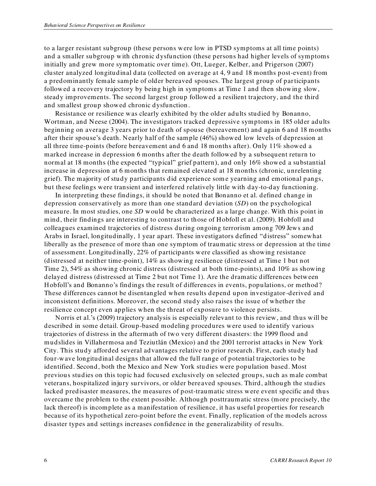to a larger resistant subgroup (these persons were low in PTSD symptoms at all time points) and a smaller subgroup with chronic dysfunction (these persons had higher levels of symptoms initially and grew more symptomatic over time). Ott, Lueger, Kelber, and Prigerson (2007) cluster analyzed longitudinal data (collected on average at 4, 9 and 18 months post-event) from a predominantly female sample of older bereaved spouses. The largest group of par ticipants followed a recovery trajectory by being high in symptoms at Time 1 and then showing slow, steady improvements. The second largest group followed a resilient trajectory, and the third and smallest group showed chronic dysfunction .

Resistance or resilience was clearly exhibited by the older adults studied by Bonanno, Wortman, and Neese (2004). The investigators tracked depressive symptoms in 185 older adults beginning on average 3 years prior to death of spouse (bereavement) and again 6 and 18 months after their spouse's death. Nearly half of the sample (46%) showed low levels of depression at all three time-points (before bereavement and 6 and 18 months after). Only 11% showed a marked increase in depression 6 months after the death followed by a subsequent return to normal at 18 months (the expected "typical" grief pattern), and only 16% showed a substantial increase in depression at 6 months that remained elevated at 18 months (chronic, unrelenting grief). The majority of study participants did experience som e yearning and emotional pangs, but these feelings were transient and interfered relatively little with day-to-day functioning.

In interpreting these findings, it should be noted that Bonanno et al. defined change in depression conservatively as more than one standard deviation (*SD*) on the psychological measure. In most studies, one *SD* would be characterized as a large change. With this point in mind, their findings are interesting to contrast to those of Hobfoll et al. (2009). Hobfoll and colleagues examined trajectories of distress during ongoing terrorism among 709 Jews and Arabs in Israel, longitudinally, 1 year apart. These investigators defined "distress" somewhat liberally as the presence of more than one symptom of traumatic stress or depression at the time of assessment. Longitudinally, 22% of participants were classified as showing resistance (distressed at neither time-point), 14% as showing resilience (distressed at Time 1 but not Time 2), 54% as showing chronic distress (distressed at both time-points), and 10% as showing delayed distress (distressed at Time 2 but not Time 1). Are the dramatic differences between Hobfoll's and Bonanno's findings the result of differences in events, populations, or method? These differences cannot be disentangled when results depend upon investigator -derived and inconsistent definitions. Moreover, the second study also raises the issue of whether the resilience concept even applies when the threat of exposure to violence persists.

Norris et al.'s (2009) trajectory analysis is especially relevant to this review, and thus will be described in some detail. Group-based modeling procedures were used to identify various trajectories of distress in the aftermath of two very different disasters: the 1999 flood and mudslides in Villahermosa and Teziutlán (Mexico) and the 2001 terrorist attacks in New York City. This study afforded several advantages relative to prior research. First, each study had four-wave longitudinal designs that allowed the full range of potential trajectories to be identified. Second, both the Mexico and New York studies were population based. Most previous studies on this topic had focused exclusively on selected groups, such as male combat veterans, hospitalized injury survivors, or older bereaved spouses. Third, although the studies lacked predisaster measures, the measures of post-traumatic stress were event specific and thus overcame the problem to the extent possible. Although posttraumatic stress (more precisely, the lack thereof) is incomplete as a manifestation of resilience, it has useful properties for research because of its hypothetical zero-point before the event. Finally, replication of the models across disaster types and settings increases confidence in the generalizability of results.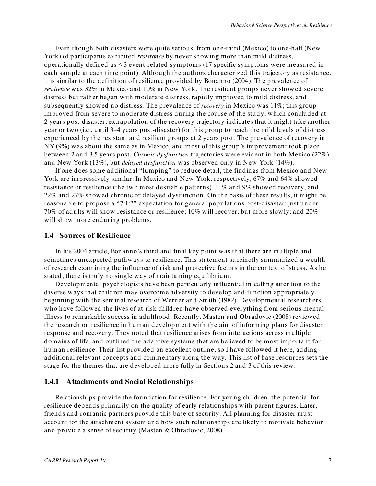Even though both disasters were quite serious, from one-third (Mexico) to one-half (New York) of participants exhibited *resistance* by never showing more than mild distress, operationally defined as  $\leq 3$  event-related symptoms (17 specific symptoms were measured in each sample at each time point). Although the authors characterized this trajectory as resistance, it is similar to the definition of resilience provided by Bonanno (2004). The prevalence of *resilience* was 32% in Mexico and 10% in New York. The resilient groups never showed severe distress but rather began with moderate distress, rapidly improved to mild distress, and subsequently showed no distress. The prevalence of *recovery* in Mexico was 11%; this group improved from severe to moderate distress during the course of the study, which concluded at 2 years post-disaster; extrapolation of the recovery trajectory indicates that it might take another year or two (i.e., until 3–4 years post-disaster) for this group to reach the mild levels of distress experienced by the resistant and resilient groups at 2 years post. The prevalence of recovery in NY (9%) was about the same as in Mexico, and most of this group's improvement took place between 2 and 3.5 years post. *Chronic dysfunction* trajectories were evident in both Mexico (22%) and New York (13%), but *delayed dysfunction* was observed only in New York (14%).

If one does some additional "lumping" to reduce detail, the findings from Mexico and New York are impressively similar: In Mexico and New York, respectively, 67% and 64% showed resistance or resilience (the two most desirable patterns), 11% and 9% showed recovery, and 22% and 27% showed chronic or delayed dysfunction. On the basis of these results, it might be reasonable to propose a "7:1:2" expectation for general populations post-disaster: just under 70% of adults will show resistance or resilience; 10% will recover, but more slowly; and 20% will show more enduring problems.

#### <span id="page-20-0"></span>**1.4 Sources of Resilience**

In his 2004 article, Bonanno's third and final key point was that there are multiple and sometimes unexpected pathways to resilience. This statement succinctly summarized a wealth of research examining the influence of risk and protective factors in the context of stress. As he stated, there is truly no single way of maintaining equilibrium.

Developmental psychologists have been particularly influential in calling attention to the diverse ways that children may overcome adversity to develop and function appropriately, beginning with the seminal research of Werner and Smith (1982). Developmental researchers who have followed the lives of at-risk children have observed everything from serious mental illness to remarkable success in adulthood. Recently, Masten and Obradovic (2008) reviewed the research on resilience in human development with the aim of informing plans for disaster response and recovery. They noted that resilience arises from interactions across multiple domains of life, and outlined the adaptive systems that are believed to be most important for human resilience. Their list provided an excellent outline, so I have followed it here, adding additional relevant concepts and commentary along the way. This list of base resources sets the stage for the themes that are developed more fully in Sections 2 and 3 of this review.

#### <span id="page-20-1"></span>**1.4.1 Attachments and Social Relationships**

Relationships provide the foundation for resilience. For young children, the potential for resilience depends primarily on the quality of early relationships with parent figures. Later, friends and romantic partners provide this base of security. All planning for disaster must account for the attachment system and how such relationships are likely to motivate behavior and provide a sense of security (Masten & Obradovic, 2008).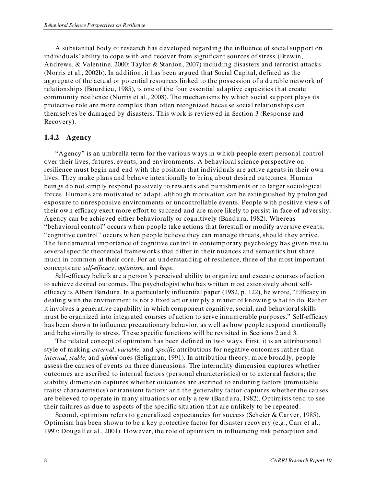A substantial body of research has developed regarding the influence of social support on individuals' ability to cope with and recover from significant sources of stress (Brewin, Andrews, & Valentine, 2000; Taylor & Stanton, 2007) including disasters and terrorist attacks (Norris et al., 2002b). In addition, it has been argued that Social Capital, defined as the aggregate of the actual or potential resources linked to the possession of a durable network of relationships (Bourdieu, 1985), is one of the four essential adaptive capacities that create community resilience (Norris et al., 2008). The mechanisms by which social support plays its protective role are more complex than often recognized because social relationships can themselves be damaged by disasters. This work is reviewed in Section 3 (Response and Recovery).

#### <span id="page-21-0"></span>**1.4.2 Agency**

"Agency" is an umbrella term for the various ways in which people exert personal control over their lives, futures, events, and environments. A behavioral science perspective on resilience must begin and end with the position that individuals are active agents in their own lives. They make plans and behave intentionally to bring about desired outcomes. Human beings do not simply respond passively to rewards and punishm ents or to larger sociological forces. Humans are motivated to adapt, although motivation can be extinguished by prolonged exposure to unresponsive environments or uncontrollable events. People with positive view s of their own efficacy exert more effort to succeed and are more likely to persist in face of adversity. Agency can be achieved either behaviorally or cognitively (Bandura, 1982). Whereas "behavioral control" occurs when people take actions that forestall or modify aversive events, "cognitive control" occurs when people believe they can manage threats, should they arrive. The fundamental importance of cognitive control in contemporary psychology has given rise to several specific theoretical frameworks that differ in their nuances and semantics but share much in common at their core. For an understanding of resilience, three of the most important concepts are *self-efficacy*, *optimism*, and *hope*.

Self-efficacy beliefs are a person's perceived ability to organize and execute courses of action to achieve desired outcomes. The psychologist who has written most extensively about selfefficacy is Albert Bandura. In a particularly influential paper (1982, p. 122), he wrote, "Efficacy in dealing with the environment is not a fixed act or simply a matter of knowing what to do. Rather it involves a generative capability in which component cognitive, social, and behavioral skills must be organized into integrated courses of action to serve innumerable purposes." Self-efficacy has been shown to influence precautionary behavior, as well as how people respond emotionally and behaviorally to stress. These specific functions will be revisited in Sections 2 and 3.

The related concept of optimism has been defined in two ways. First, it is an attributional style of making *external*, *variable*, and *specific* attributions for negative outcomes rather than *internal*, *stable*, and *global* ones (Seligman, 1991). In attribution theory, more broadly, people assess the causes of events on three dimensions. The internality dimension captures whether outcomes are ascribed to internal factors (personal characteristics) or to external factors; the stability dimension captures w hether outcomes are ascribed to enduring factors (immutable traits/ characteristics) or transient factors; and the generality factor captures whether the causes are believed to operate in many situations or only a few (Bandura, 1982). Optimists tend to see their failures as due to aspects of the specific situation that are unlikely to be repeated.

Second, optimism refers to generalized expectancies for success (Scheier & Carver, 1985). Optimism has been shown to be a key protective factor for disaster recovery (e.g., Carr et al., 1997; Dougall et al., 2001). However, the role of optimism in influencing risk perception and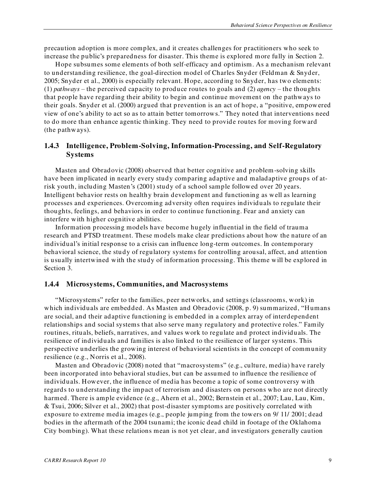precaution adoption is more complex, and it creates challenges for practitioners who seek to increase the public's preparedness for disaster. This theme is explored more fully in Section 2.

Hope subsumes some elements of both self-efficacy and optimism. As a mechanism relevant to understanding resilience, the goal-direction model of Charles Snyder (Feldman & Snyder, 2005; Snyder et al., 2000) is especially relevant. Hope, according to Snyder, has two elements: (1) *pathways* – the perceived capacity to produce routes to goals and (2) *agency* – the thoughts that people have regarding their ability to begin and continue movement on the pathways to their goals. Snyder et al. (2000) argued that prevention is an act of hope, a "positive, empowered view of one's ability to act so as to attain better tomorrows." They noted that interventions need to do more than enhance agentic thinking. They need to provide routes for moving forward (the pathways).

#### <span id="page-22-0"></span>**1.4.3 Intelligence, Problem-Solving, Information-Processing, and Self-Regulatory Systems**

Masten and Obradovic (2008) observed that better cognitive and problem-solving skills have been implicated in nearly every study comparing adaptive and maladaptive groups of atrisk youth, including Masten's (2001) study of a school sample followed over 20 years. Intelligent behavior rests on healthy brain development and functioning as well as learning processes and experiences. Overcoming adversity often requires individuals to regulate their thoughts, feelings, and behaviors in order to continue functioning. Fear and anxiety can interfere with higher cognitive abilities.

Information processing models have become hugely influential in the field of trauma research and PTSD treatment. These models make clear predictions about how the nature of an individual's initial response to a crisis can influence long-term outcomes. In contemporary behavioral science, the study of regulatory systems for controlling arousal, affect, and attention is usually intertwined with the study of information processing. This theme will be explored in Section 3.

#### <span id="page-22-1"></span>**1.4.4 Microsystems, Communities, and Macrosystems**

―Microsystems‖ refer to the families, peer networks, and settings (classrooms, work) in which individuals are embedded. As Masten and Obradovic (2008, p. 9) summarized, "Humans are social, and their adaptive functioning is embedded in a complex array of interdependent relationships and social systems that also serve many regulatory and protective roles." Family routines, rituals, beliefs, narratives, and values work to regulate and protect individuals. The resilience of individuals and families is also linked to the resilience of larger systems. This perspective underlies the growing interest of behavioral scientists in the concept of community resilience (e.g., Norris et al., 2008).

Masten and Obradovic (2008) noted that "macrosystems" (e.g., culture, media) have rarely been incorporated into behavioral studies, but can be assumed to influence the resilience of individuals. However, the influence of media has become a topic of some controversy with regards to understanding the impact of terrorism and disasters on persons who are not directly harmed. There is ample evidence (e.g., Ahern et al., 2002; Bernstein et al., 2007; Lau, Lau, Kim, & Tsui, 2006; Silver et al., 2002) that post-disaster symptoms are positively correlated with exposure to extreme media images (e.g., people jumping from the towers on 9/ 11/ 2001; dead bodies in the aftermath of the 2004 tsunami; the iconic dead child in footage of the Oklahoma City bombing). What these relations mean is not yet clear, and investigators generally caution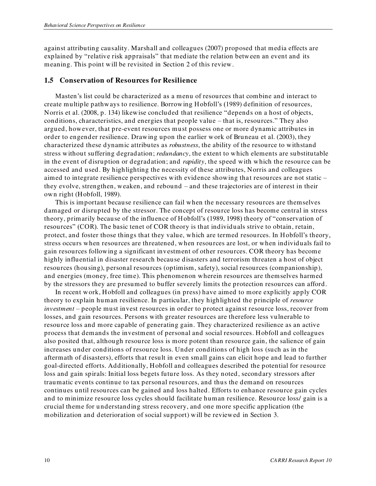against attributing causality. Marshall and colleagues (2007) proposed that media effects are explained by "relative risk appraisals" that mediate the relation between an event and its meaning. This point will be revisited in Section 2 of this review.

#### <span id="page-23-0"></span>**1.5 Conservation of Resources for Resilience**

Masten's list could be characterized as a menu of resources that combine and interact to create multiple pathways to resilience. Borrowing Hobfoll's (1989) definition of resources, Norris et al. (2008, p. 134) likewise concluded that resilience "depends on a host of objects, conditions, characteristics, and energies that people value – that is, resources." They also argued, however, that pre-event resources must possess one or more dynamic attributes in order to engender resilience. Drawing upon the earlier w ork of Bruneau et al. (2003), they characterized these dynamic attributes as *robustness*, the ability of the resource to withstand stress without suffering degradation; *redundancy*, the extent to which elements are substitutable in the event of disruption or degradation; and *rapidity*, the speed with which the resource can be accessed and used. By highlighting the necessity of these attributes, Norris and colleagues aimed to integrate resilience perspectives with evidence showing that resources are not static – they evolve, strengthen, weaken, and rebound – and these trajectories are of interest in their own right (Hobfoll, 1989).

This is important because resilience can fail when the necessary resources are themselves damaged or disrupted by the stressor. The concept of resource loss has become central in stress theory, primarily because of the influence of Hobfoll's (1989, 1998) theory of "conservation of resources" (COR). The basic tenet of COR theory is that individuals strive to obtain, retain, protect, and foster those things that they value, which are termed resources. In Hobfoll's theory, stress occurs when resources are threatened, when resources are lost, or when individuals fail to gain resources following a significant investment of other resources. COR theory has become highly influential in disaster research because disasters and terrorism threaten a host of object resources (housing), personal resources (optimism, safety), social resources (companionship), and energies (money, free time). This phenomenon wherein resources are themselves harmed by the stressors they are presumed to buffer severely limits the protection resources can afford.

In recent work, Hobfoll and colleagues (in press) have aimed to more explicitly apply COR theory to explain human resilience. In particular, they highlighted the principle of *resource investment* – people must invest resources in order to protect against resource loss, recover from losses, and gain resources. Persons with greater resources are therefore less vulnerable to resource loss and more capable of generating gain. They characterized resilience as an active process that demands the investment of personal and social resources. Hobfoll and colleagues also posited that, although resource loss is more potent than resource gain, the salience of gain increases under conditions of resource loss. Under conditions of high loss (such as in the aftermath of disasters), efforts that result in even small gains can elicit hope and lead to further goal-directed efforts. Additionally, Hobfoll and colleagues described the potential for resource loss and gain spirals: Initial loss begets future loss. As they noted, secondary stressors after traumatic events continue to tax personal resources, and thus the demand on resources continues until resources can be gained and loss halted. Efforts to enhance resource gain cycles and to minimize resource loss cycles should facilitate human resilience. Resource loss/ gain is a crucial theme for understanding stress recovery, and one more specific application (the mobilization and deterioration of social support) will be reviewed in Section 3.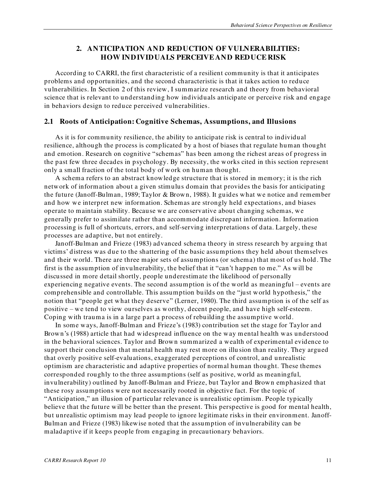# <span id="page-24-0"></span>**2. ANTICIPATION AND REDUCTION OF VULNERABILITIES: HOW INDIVIDUALS PERCEIVEAND REDUCE RISK**

According to CARRI, the first characteristic of a resilient community is that it anticipates problems and opportunities, and the second characteristic is that it takes action to reduce vulnerabilities. In Section 2 of this review, I summarize research and theory from behavioral science that is relevant to understanding how individuals anticipate or perceive risk and engage in behaviors design to reduce perceived vulnerabilities.

#### <span id="page-24-1"></span>**2.1 Roots of Anticipation: Cognitive Schemas, Assumptions, and Illusions**

As it is for community resilience, the ability to anticipate risk is central to individual resilience, although the process is complicated by a host of biases that regulate human thought and emotion. Research on cognitive "schemas" has been among the richest areas of progress in the past few three decades in psychology. By necessity, the works cited in this section represent only a small fraction of the total body of work on human thought.

A schema refers to an abstract knowledge structure that is stored in memory; it is the rich network of information about a given stimulus domain that provides the basis for anticipating the future (Janoff-Bulman, 1989; Taylor & Brown, 1988). It guides what we notice and remember and how we interpret new information. Schemas are strongly held expectations, and biases operate to maintain stability. Because we are conservative about changing schemas, we generally prefer to assimilate rather than accommodate discrepant information. Information processing is full of shortcuts, errors, and self-serving interpretations of data. Largely, these processes are adaptive, but not entirely.

Janoff-Bulman and Frieze (1983) advanced schema theory in stress research by arguing that victims' distress was due to the shattering of the basic assumptions they held about themselves and their world. There are three major sets of assumptions (or schema) that most of us hold . The first is the assumption of invulnerability, the belief that it "can't happen to me." As will be discussed in more detail shortly, people underestimate the likelihood of personally experiencing negative events. The second assumption is of the world as meaningful – events are comprehensible and controllable. This assumption builds on the "just world hypothesis," the notion that "people get what they deserve" (Lerner, 1980). The third assumption is of the self as positive – we tend to view ourselves as worthy, decent people, and have high self-esteem. Coping with trauma is in a large part a process of rebuilding the assumptive world.

In some ways, Janoff-Bulman and Frieze's (1983) contribution set the stage for Taylor and Brown's (1988) article that had widespread influence on the way mental health was understood in the behavioral sciences. Taylor and Brown summarized a wealth of experimental evidence to support their conclusion that mental health may rest more on illu sion than reality. They argued that overly positive self-evaluations, exaggerated perceptions of control, and unrealistic optimism are characteristic and adaptive properties of normal human thought. These themes corresponded roughly to the three assumptions (self as positive, world as meaningful, invulnerability) outlined by Janoff-Bulman and Frieze, but Taylor and Brown emphasized that these rosy assumptions were not necessarily rooted in objective fact. For the topic of ―Anticipation,‖ an illusion of particular relevance is unrealistic optimism. People typically believe that the future will be better than the present. This perspective is good for mental health, but unrealistic optimism may lead people to ignore legitimate risks in their environment. Janoff-Bulman and Frieze (1983) likewise noted that the assumption of invulnerability can be maladaptive if it keeps people from engaging in precautionary behaviors.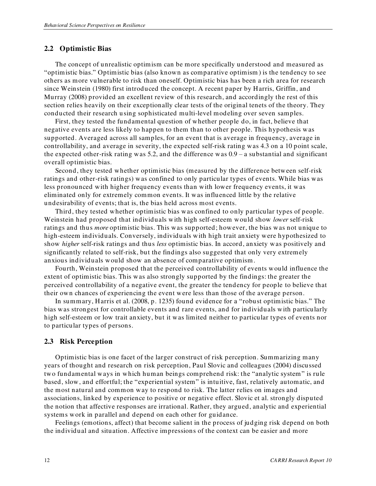#### <span id="page-25-0"></span>**2.2 Optimistic Bias**

The concept of unrealistic optimism can be more specifically understood and measured as "optimistic bias." Optimistic bias (also known as comparative optimism) is the tendency to see others as more vulnerable to risk than oneself. Optimistic bias has been a rich area for research since Weinstein (1980) first introduced the concept. A recent paper by Harris, Griffin, and Murray (2008) provided an excellent review of this research, and accordingly the rest of this section relies heavily on their exceptionally clear tests of the original tenets of the theory. They conducted their research using sophisticated multi-level modeling over seven samples.

First, they tested the fundamental question of whether people do, in fact, believe that negative events are less likely to happen to them than to other people. This hypothesis was supported. Averaged across all samples, for an event that is average in frequency, average in controllability, and average in severity, the expected self-risk rating was 4.3 on a 10 point scale, the expected other-risk rating was 5.2, and the difference was 0.9 – a substantial and significant overall optimistic bias.

Second, they tested whether optimistic bias (measured by the difference between self-risk ratings and other-risk ratings) was confined to only particular types of events. While bias was less pronounced with higher frequency events than with lower frequency events, it was eliminated only for extremely common events. It was influenced little by the relative undesirability of events; that is, the bias held across most events.

Third, they tested whether optimistic bias was confined to only particular types of people. Weinstein had proposed that individuals with high self-esteem would show *lower* self-risk ratings and thus *more* optimistic bias. This was supported; however, the bias was not unique to high-esteem individuals. Conversely, individuals with high trait anxiety were hypothesized to show *higher* self-risk ratings and thus *less* optimistic bias. In accord, anxiety was positively and significantly related to self-risk, but the findings also suggested that only very extremely anxious individuals would show an absence of comparative optimism .

Fourth, Weinstein proposed that the perceived controllability of events would influence the extent of optimistic bias. This was also strongly supported by the findings: the greater the perceived controllability of a negative event, the greater the tendency for people to believe that their own chances of experiencing the event were less than those of the average person.

In summary, Harris et al.  $(2008, p. 1235)$  found evidence for a "robust optimistic bias." The bias was strongest for controllable events and rare events, and for individuals with particularly high self-esteem or low trait anxiety, but it was limited neither to particular types of events nor to particular types of persons.

#### <span id="page-25-1"></span>**2.3 Risk Perception**

Optimistic bias is one facet of the larger construct of risk perception. Summarizing many years of thought and research on risk perception, Paul Slovic and colleagues (2004) discussed two fundamental ways in which human beings comprehend risk: the "analytic system" is rule based, slow, and effortful; the "experiential system" is intuitive, fast, relatively automatic, and the most natural and common way to respond to risk. The latter relies on images and associations, linked by experience to positive or negative effect. Slovic et al. strongly disputed the notion that affective responses are irrational. Rather, they argued, analytic and experiential systems work in parallel and depend on each other for guidance.

Feelings (emotions, affect) that become salient in the process of judging risk depend on both the individual and situation. Affective impressions of the context can be easier and more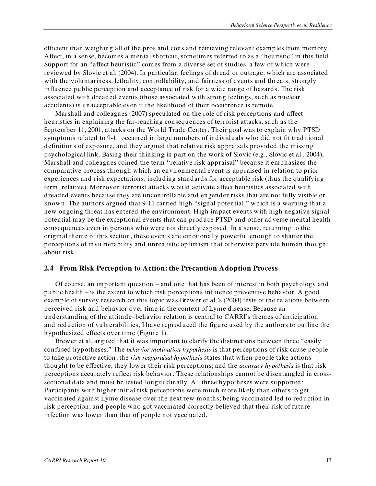efficient than weighing all of the pros and cons and retrieving relevant examples from memory. Affect, in a sense, becomes a mental shortcut, sometimes referred to as a "heuristic" in this field. Support for an "affect heuristic" comes from a diverse set of studies, a few of which were reviewed by Slovic et al. (2004). In particular, feelings of dread or outrage, which are associated with the voluntariness, lethality, controllability, and fairness of events and threats, strongly influence public perception and acceptance of risk for a wide range of hazards. The risk associated with dreaded events (those associated with strong feelings, such as nuclear accidents) is unacceptable even if the likelihood of their occurrence is remote.

Marshall and colleagues (2007) speculated on the role of risk perceptions and affect heuristics in explaining the far-reaching consequences of terrorist attacks, such as the September 11, 2001, attacks on the World Trade Center. Their goal was to explain why PTSD symptoms related to 9-11 occurred in large numbers of individuals who did not fit traditional definitions of exposure, and they argued that relative risk appraisals provided the missing psychological link. Basing their thinking in part on the work of Slovic (e.g., Slovic et al., 2004), Marshall and colleagues coined the term "relative risk appraisal" because it emphasizes the comparative process through which an environmental event is appraised in relation to prior experiences and risk expectations, including standards for acceptable risk (thus the qualifying term, relative). Moreover, terrorist attacks would activate affect heuristics associated with dreaded events because they are uncontrollable and engender risks that are not fully visible or known. The authors argued that 9-11 carried high "signal potential," which is a warning that a new ongoing threat has entered the environment. High impact events with high negative signal potential may be the exceptional events that can produce PTSD and other adverse mental health consequences even in persons who were not directly exposed. In a sense, returning to the original theme of this section, these events are emotionally powerful enough to shatter the perceptions of invulnerability and unrealistic optimism that otherwise pervade human thought about risk.

#### <span id="page-26-0"></span>**2.4 From Risk Perception to Action: the Precaution Adoption Process**

Of course, an important question – and one that has been of interest in both psychology and public health – is the extent to which risk perceptions influence preventive behavior. A good example of survey research on this topic was Brewer et al.'s (2004) tests of the relations between perceived risk and behavior over time in the context of Lyme d isease. Because an understanding of the attitude–behavior relation is central to CARRI's themes of anticipation and reduction of vulnerabilities, I have reproduced the figure used by the authors to outline the hypothesized effects over time (Figure 1).

Brewer et al. argued that it was important to clarify the distinctions between three "easily confused hypotheses." The *behavior motivation hypothesis* is that perceptions of risk cause people to take protective action; the *risk reappraisal hypothesis* states that when people take actions thought to be effective, they lower their risk perceptions; and the *accuracy hypothesis* is that risk perceptions accurately reflect risk behavior. These relationships cannot be disentangled in crosssectional data and must be tested longitudinally. All three hypotheses were supported: Participants with higher initial risk perceptions were much more likely than others to get vaccinated against Lyme disease over the next few months; being vaccinated led to reduction in risk perception; and people who got vaccinated correctly believed that their risk of future infection was lower than that of people not vaccinated.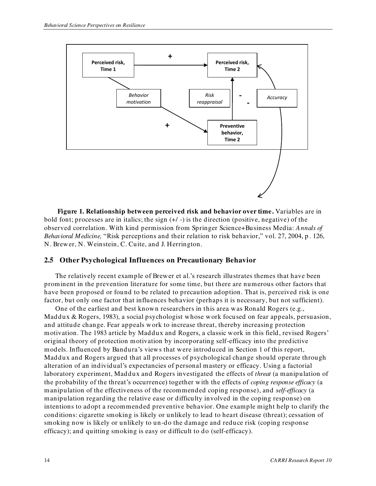

<span id="page-27-1"></span>**Figure 1. Relationship between perceived risk and behavior over time.** Variables are in bold font; processes are in italics; the sign (+/ -) is the direction (positive, negative) of the observed correlation. With kind permission from Springer Science+Business Media: *Annals of Behavioral Medicine,* "Risk perceptions and their relation to risk behavior," vol. 27, 2004, p. 126, N. Brewer, N. Weinstein, C. Cuite, and J. Herrington.

#### <span id="page-27-0"></span>**2.5 Other Psychological Influences on Precautionary Behavior**

The relatively recent example of Brewer et al.'s research illustrates themes that have been prominent in the prevention literature for some time, but there are numerous other factors that have been proposed or found to be related to precaution adoption. That is, perceived risk is one factor, but only one factor that influences behavior (perhaps it is necessary, but not sufficient).

One of the earliest and best known researchers in this area was Ronald Rogers (e.g., Maddux & Rogers, 1983), a social psychologist whose work focused on fear appeals, persuasion, and attitude change. Fear appeals w ork to increase threat, thereby increasing protection motivation. The 1983 article by Maddux and Rogers, a classic work in this field, revised Rogers' original theory of protection motivation by incorporating self-efficacy into the predictive models. Influenced by Bandura's views that were introduced in Section 1 of this report, Maddux and Rogers argued that all processes of psychological change should operate through alteration of an individual's expectancies of personal mastery or efficacy. Using a factorial laboratory experiment, Maddux and Rogers investigated the effects of *threat* (a manipulation of the probability of the threat's occurrence) together with the effects of *coping response efficacy* (a manipulation of the effectiveness of the recommended coping response), and *self-efficacy* (a manipulation regarding the relative ease or difficulty involved in the coping response) on intentions to adopt a recommended preventive behavior. One example might help to clarify the conditions: cigarette smoking is likely or unlikely to lead to heart disease (threat); cessation of smoking now is likely or unlikely to un-do the damage and reduce risk (coping response efficacy); and quitting smoking is easy or difficult to do (self-efficacy).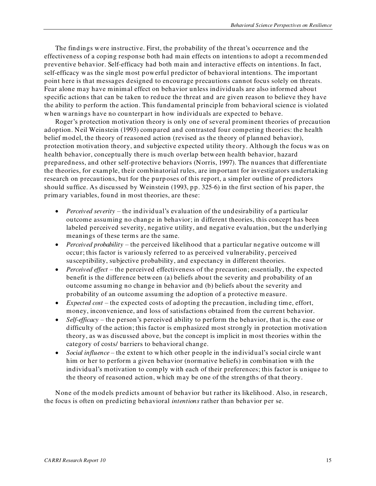The findings were instructive. First, the probability of the threat's occurrence and the effectiveness of a coping response both had main effects on intentions to adopt a recommended preventive behavior. Self-efficacy had both main and interactive effects on intentions. In fact, self-efficacy was the single most powerful predictor of behavioral intentions. The important point here is that messages designed to encourage precautions cannot focus solely on threats. Fear alone may have minimal effect on behavior unless individuals are also informed about specific actions that can be taken to reduce the threat and are given reason to believe they have the ability to perform the action. This fundamental principle from behavioral science is violated when warnings have no counterpart in how individuals are expected to behave.

Roger's protection motivation theory is only one of several prominent theories of precaution adoption. Neil Weinstein (1993) compared and contrasted four competing theories: the health belief model, the theory of reasoned action (revised as the theory of planned behavior), protection motivation theory, and subjective expected utility theory. Although the focus was on health behavior, conceptually there is much overlap between health behavior, hazard preparedness, and other self-protective behaviors (Norris, 1997). The nuances that differentiate the theories, for example, their combinatorial rules, are important for investigators undertaking research on precautions, but for the purp oses of this report, a simpler outline of predictors should suffice. As discussed by Weinstein (1993, pp. 325-6) in the first section of his paper, the primary variables, found in most theories, are these:

- *Perceived severity* the individual's evaluation of the undesirability of a particular outcome assuming no change in behavior; in different theories, this concept has been labeled perceived severity, negative utility, and negative evaluation, but the underlying meanings of these terms are the same.
- *Perceived probability* the perceived likelihood that a particular negative outcome will occur; this factor is variously referred to as perceived vulnerability, perceived susceptibility, subjective probability, and expectancy in different theories.
- *Perceived effect*  the perceived effectiveness of the precaution; essentially, the expected benefit is the difference between (a) beliefs about the severity and probability of an outcome assuming no change in behavior and (b) beliefs about the severity and probability of an outcome assuming the adoption of a protective m easure.
- *Expected cost* the expected costs of adopting the precaution, including time, effort, money, inconvenience, and loss of satisfactions obtained from the current behavior.
- *Self-efficacy* the person's perceived ability to perform the behavior, that is, the ease or difficulty of the action; this factor is emphasized most strongly in protection motivation theory, as was discussed above, but the concept is implicit in most theories within the category of costs/ barriers to behavioral change.
- *Social influence*  the extent to which other people in the individual's social circle want him or her to perform a given behavior (normative beliefs) in combination with the individual's motivation to comply with each of their preferences; this factor is unique to the theory of reasoned action, which may be one of the strengths of that theory.

None of the models predicts amount of behavior but rather its likelihood . Also, in research, the focus is often on predicting behavioral *intentions* rather than behavior per se.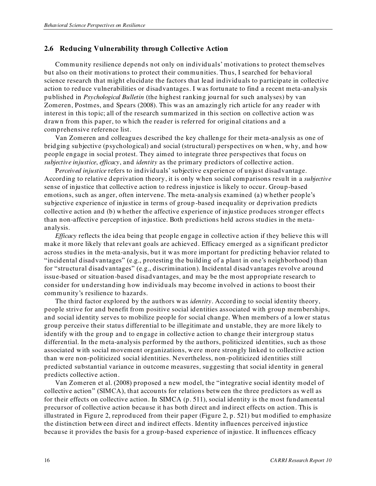#### <span id="page-29-0"></span>**2.6 Reducing Vulnerability through Collective Action**

Community resilience depends not only on individuals' motivations to protect themselves but also on their motivations to protect their communities. Thus, I searched for behavioral science research that might elucidate the factors that lead individuals to participate in collective action to reduce vulnerabilities or disadvantages. I was fortunate to find a recent meta-analysis published in *Psychological Bulletin* (the highest ranking journal for such analyses) by van Zomeren, Postmes, and Spears (2008). This was an amazingly rich article for any reader with interest in this topic; all of the research summarized in this section on collective action was drawn from this paper, to which the reader is referred for original citations and a comprehensive reference list.

Van Zomeren and colleagues described the key challenge for their meta-analysis as one of bridging subjective (psychological) and social (structural) perspectives on when, why, and how people engage in social protest. They aimed to integrate three perspectives that focus on *subjective injustice*, *efficacy*, and *identity* as the primary predictors of collective action.

P*erceived injustice* refers to individuals' subjective experience of unjust disadvantage. According to relative deprivation theory, it is only when social comparisons result in a *subjective* sense of injustice that collective action to redress injustice is likely to occur. Group-based emotions, such as anger, often intervene. The meta-analysis examined (a) whether people's subjective experience of injustice in terms of group -based inequality or deprivation predicts collective action and (b) whether the affective experience of injustice produces stronger effects than non-affective perception of injustice. Both predictions held across studies in the metaanalysis.

*Efficacy* reflects the idea being that people engage in collective action if they believe this will make it more likely that relevant goals are achieved. Efficacy emerged as a significant predictor across studies in the meta-analysis, but it was more important for predicting behavior related to "incidental disadvantages" (e.g., protesting the building of a plant in one's neighborhood) than for "structural disadvantages" (e.g., discrimination). Incidental disadvantages revolve around issue-based or situation-based disadvantages, and may be the most appropriate research to consider for understanding how individuals may become involved in actions to boost their community's resilience to hazards.

The third factor explored by the authors was *identity*. According to social identity theory, people strive for and benefit from positive social identities associated with group memberships, and social identity serves to mobilize people for social change. When members of a lower status group perceive their status differential to be illegitimate and unstable, they are more likely to identify with the group and to engage in collective action to change their intergroup status differential. In the meta-analysis performed by the authors, politicized identities, such as those associated with social movement organizations, were more strongly linked to collective action than were non-politicized social identities. Nevertheless, non-politicized identities still predicted substantial variance in outcome measures, suggesting that social identity in general predicts collective action.

Van Zomeren et al. (2008) proposed a new model, the "integrative social identity model of collective action" (SIMCA), that accounts for relations between the three predictors as well as for their effects on collective action. In SIMCA (p. 511), social identity is the most fundamental precursor of collective action because it has both direct and indirect effects on action. This is illustrated in Figure 2, reproduced from their paper (Figure 2, p. 521) but modified to emphasize the distinction between direct and indirect effects. Identity influences perceived injustice because it provides the basis for a group-based experience of injustice. It influences efficacy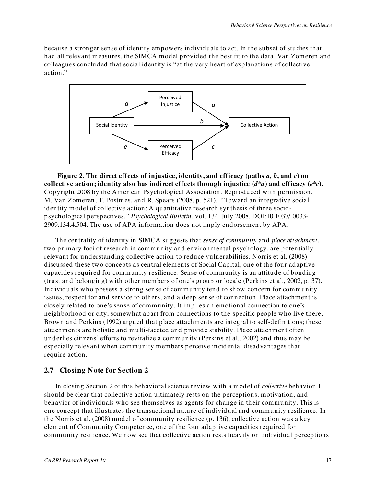because a stronger sense of identity empowers individuals to act. In the subset of studies that had all relevant measures, the SIMCA model provided the best fit to the data. Van Zomeren and colleagues concluded that social identity is "at the very heart of explanations of collective action."



<span id="page-30-1"></span>**Figure 2. The direct effects of injustice, identity, and efficacy (paths** *a, b***, and** *c***) on**  collective action; identity also has indirect effects through injustice  $(d^*a)$  and efficacy  $(e^*c)$ . Copyright 2008 by the American Psychological Association. Reproduced with permission. M. Van Zomeren, T. Postmes, and R. Spears (2008, p. 521). "Toward an integrative social identity model of collective action: A quantitative research synthesis of three sociopsychological perspectives,‖ *Psychological Bulletin*, vol. 134, July 2008. DOI:10.1037/ 0033- 2909.134.4.504. The use of APA information does not imply endorsement by APA.

The centrality of identity in SIMCA suggests that *sense of community* and *place attachment*, two primary foci of research in community and environmental psychology, are potentially relevant for understanding collective action to reduce vulnerabilities. Norris et al. (2008) discussed these two concepts as central elements of Social Capital, one of the four adaptive capacities required for community resilience. Sense of community is an attitude of bonding (trust and belonging) with other members of one's group or locale (Perkins et al., 2002, p. 37). Individuals who possess a strong sense of community tend to show concern for community issues, respect for and service to others, and a deep sense of connection. Place attachment is closely related to one's sense of community. It implies an emotional connection to one's neighborhood or city, somewhat apart from connections to the specific people who live there. Brown and Perkins (1992) argued that place attachments are integral to self-definitions; these attachments are holistic and multi-faceted and provide stability. Place attachment often underlies citizens' efforts to revitalize a community (Perkins et al., 2002) and thus may be especially relevant when community members perceive in cidental disadvantages that require action.

#### <span id="page-30-0"></span>**2.7 Closing Note for Section 2**

In closing Section 2 of this behavioral science review with a model of *collective* behavior, I should be clear that collective action ultimately rests on the perceptions, motivation, and behavior of individuals who see themselves as agents for change in their community. This is one concept that illustrates the transactional nature of individual and community resilience. In the Norris et al. (2008) model of community resilience (p. 136), collective action was a key element of Community Competence, one of the four adaptive capacities required for community resilience. We now see that collective action rests heavily on individual perceptions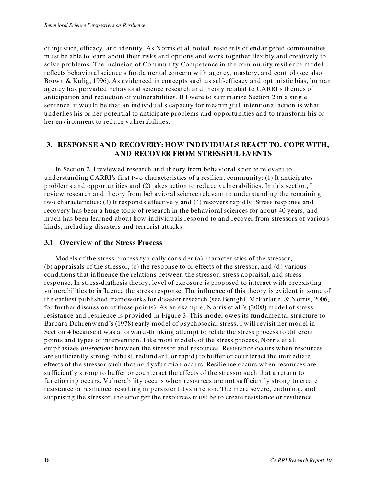of injustice, efficacy, and identity. As Norris et al. noted, residents of endangered communities must be able to learn about their risks and options and work together flexibly and creatively to solve problems. The inclusion of Community Competence in the community resilience model reflects behavioral science's fundamental concern with agency, mastery, and control (see also Brown & Kulig, 1996). As evidenced in concepts such as self-efficacy and optimistic bias, human agency has pervaded behavioral science research and theory related to CARRI's themes of anticipation and reduction of vulnerabilities. If I were to summarize Section 2 in a single sentence, it would be that an individual's capacity for meaningful, intentional action is what underlies his or her potential to anticipate problems and opportunities and to transform his or her environment to reduce vulnerabilities.

# <span id="page-31-0"></span>**3. RESPONSE AND RECOVERY: HOW INDIVIDUALS REACT TO, COPE WITH, AND RECOVER FROM STRESSFUL EVENTS**

In Section 2, I reviewed research and theory from behavioral science relevant to understanding CARRI's first two characteristics of a resilient community: (1) It anticipates problems and opportunities and (2) takes action to reduce vulnerabilities. In this section, I review research and theory from behavioral science relevant to understanding the remaining two characteristics: (3) It responds effectively and (4) recovers rapidly. Stress response and recovery has been a huge topic of research in the behavioral sciences for about 40 years, and much has been learned about how individuals respond to and recover from stressors of various kinds, including disasters and terrorist attacks.

#### <span id="page-31-1"></span>**3.1 Overview of the Stress Process**

Models of the stress process typically consider (a) characteristics of the stressor, (b) appraisals of the stressor, (c) the response to or effects of the stressor, and (d) various conditions that influence the relations between the stressor, stress appraisal, and stress response. In stress-diathesis theory, level of exposure is proposed to interact with preexisting vulnerabilities to influence the stress response. The influence of this theory is evident in some of the earliest published frameworks for disaster research (see Benight, McFarlane, & Norris, 2006, for further discussion of these points). As an example, Norris et al.'s (2008) model of stress resistance and resilience is provided in Figure 3. This model owes its fundamental structure to Barbara Dohrenwend's (1978) early model of psychosocial stress. I will revisit her model in Section 4 because it was a forward -thinking attempt to relate the stress process to different points and types of intervention. Like most models of the stress process, Norris et al. emphasizes *interactions* between the stressor and resources. Resistance occurs when resources are sufficiently strong (robust, redundant, or rapid ) to buffer or counteract the immediate effects of the stressor such that no dysfunction occurs. Resilience occurs when resources are sufficiently strong to buffer or counteract the effects of the stressor such that a return to functioning occurs. Vulnerability occurs when resources are not sufficiently strong to create resistance or resilience, resulting in persistent dysfunction. The more severe, enduring, and surprising the stressor, the stronger the resources must be to create resistance or resilience.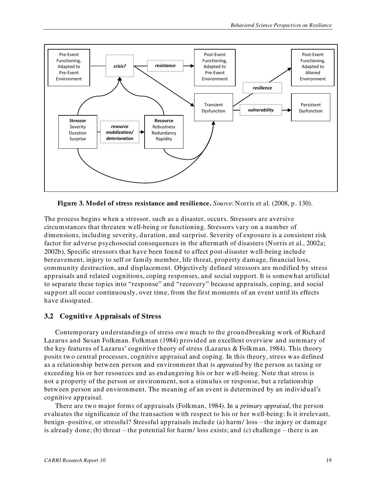

<span id="page-32-1"></span>**Figure 3. Model of stress resistance and resilience.** *Source*: Norris et al. (2008, p. 130).

The process begins when a stressor, such as a disaster, occurs. Stressors are aversive circumstances that threaten well-being or functioning. Stressors vary on a number of dimensions, including severity, duration, and surprise. Severity of exposure is a consistent risk factor for adverse psychosocial consequences in the aftermath of disasters (Norris et al., 2002a; 2002b). Specific stressors that have been found to affect post-disaster well-being include bereavement, injury to self or family member, life threat, property damage, financial loss, community destruction, and displacement. Objectively defined stressors are modified by stress appraisals and related cognitions, coping responses, and social support. It is somewhat artificial to separate these topics into "response" and "recovery" because appraisals, coping, and social support all occur continuously, over time, from the first moments of an event until its effects have dissipated.

#### <span id="page-32-0"></span>**3.2 Cognitive Appraisals of Stress**

Contemporary understandings of stress owe much to the groundbreaking work of Richard Lazarus and Susan Folkman. Folkman (1984) provided an excellent overview and summary of the key features of Lazarus' cognitive theory of stress (Lazarus & Folkman, 1984). This theory posits two central processes, cognitive appraisal and coping. In this theory, stress was defined as a relationship between person and environment that is *appraised* by the person as taxing or exceeding his or her resources and as endangering his or her well-being. Note that stress is not a property of the person or environment, not a stimulus or response, but a relationship between person and environment. The meaning of an event is determined by an individual's cognitive appraisal.

There are two major forms of appraisals (Folkman, 1984). In a *primary appraisal*, the person evaluates the significance of the transaction with respect to his or her well-being: Is it irrelevant, benign–positive, or stressful? Stressful appraisals include (a) harm/ loss – the injury or damage is already done; (b) threat – the potential for harm/ loss exists; and (c) challenge – there is an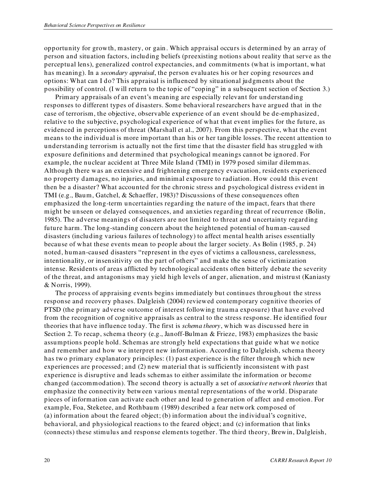opportunity for growth, mastery, or gain . Which appraisal occurs is determined by an array of person and situation factors, including beliefs (preexisting notions about reality that serve as the perceptual lens), generalized control expectancies, and commitments (what is important, what has meaning). In a *secondary appraisal*, the person evaluates his or her coping resources and options: What can I do? This appraisal is influenced by situational judgments about the possibility of control. (I will return to the topic of "coping" in a subsequent section of Section 3.)

Primary appraisals of an event's meaning are especially relevant for understanding responses to different types of disasters. Some behavioral researchers have argued that in the case of terrorism, the objective, observable experience of an event should be de-emphasized, relative to the subjective, psychological experience of what that event implies for the future, as evidenced in perceptions of threat (Marshall et al., 2007). From this perspective, what the event means to the individual is more important than his or her tangible losses. The recent attention to understanding terrorism is actually not the first time that the disaster field has struggled with exposure definitions and determined that psychological meanings cannot be ignored. For example, the nuclear accident at Three Mile Island (TMI) in 1979 posed similar dilemmas. Although there was an extensive and frightening emergency evacuation, residents experienced no property damages, no injuries, and minimal exposure to radiation. How could this event then be a disaster? What accounted for the chronic stress and psychological distress evident in TMI (e.g., Baum, Gatchel, & Schaeffer, 1983)? Discussions of these consequences often emphasized the long-term uncertainties regarding the nature of the impact, fears that there might be unseen or delayed consequences, and anxieties regarding threat of recurrence (Bolin, 1985). The adverse meanings of disasters are not limited to threat and uncertainty regarding future harm. The long-standing concern about the heightened potential of human-caused disasters (including various failures of technology) to affect mental health arises essentially because of what these events mean to people about the larger society. As Bolin (1985, p. 24) noted, human-caused disasters "represent in the eyes of victims a callousness, carelessness, intentionality, or insensitivity on the part of others" and make the sense of victimization intense. Residents of areas afflicted by technological accidents often bitterly debate the severity of the threat, and antagonisms may yield high levels of anger, alienation, and mistrust (Kaniasty & Norris, 1999).

The process of appraising events begins immediately but continues throughout the stress response and recovery phases. Dalgleish (2004) reviewed contemporary cognitive theories of PTSD (the primary adverse outcome of interest following trauma exposure) that have evolved from the recognition of cognitive appraisals as central to the stress response. He identified four theories that have influence today. The first is *schema theory*, which was discussed here in Section 2. To recap, schema theory (e.g., Janoff-Bulman & Frieze, 1983) emphasizes the basic assumptions people hold. Schemas are strongly held expectations that guide what we notice and remember and how we interpret new information. According to Dalgleish, schema theory has two primary explanatory principles: (1) past experience is the filter through which new experiences are processed; and (2) new material that is sufficiently inconsistent with past experience is disruptive and leads schemas to either assimilate the information or become changed (accommodation). The second theory is actually a set of *associative network theories* that emphasize the connectivity between various mental representations of the world. Disparate pieces of information can activate each other and lead to generation of affect and emotion. For example, Foa, Steketee, and Rothbaum (1989) described a fear network composed of (a) information about the feared object; (b) information about the individual's cognitive, behavioral, and physiological reactions to the feared object; and (c) information that links (connects) these stimulus and response elements together. The third theory, Brewin, Dalgleish,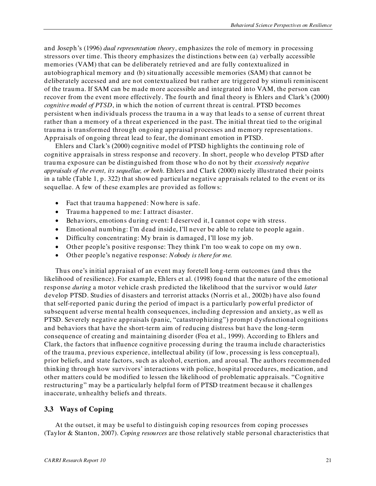and Joseph's (1996) *dual representation theory*, emphasizes the role of memory in processing stressors over time. This theory emphasizes the distinctions between (a) verbally accessible memories (VAM) that can be deliberately retrieved and are fully contextualized in autobiographical memory and (b) situationally accessible memories (SAM) that cannot be deliberately accessed and are not contextualized but rather are triggered by stimuli reminiscent of the trauma. If SAM can be made more accessible and integrated into VAM, the person can recover from the event more effectively. The fourth and final theory is Ehlers and Clark's (2000) *cognitive model of PTSD*, in which the notion of current threat is central. PTSD becomes persistent when individuals process the trauma in a way that leads to a sense of current threat rather than a memory of a threat experienced in the past. The initial threat tied to the original trauma is transformed through ongoing appraisal processes and memory representations. Appraisals of ongoing threat lead to fear, the dominant emotion in PTSD.

Ehlers and Clark's (2000) cognitive model of PTSD highlights the continuing role of cognitive appraisals in stress response and recovery. In short, people who develop PTSD after trauma exposure can be distinguished from those who do not by their *excessively negative appraisals of the event, its sequellae, or both*. Ehlers and Clark (2000) nicely illustrated their points in a table (Table 1, p. 322) that showed particular negative appraisals related to the event or its sequellae. A few of these examples are provided as follows:

- Fact that trauma happened: Nowhere is safe.
- Trauma happened to me: I attract disaster.
- Behaviors, emotions during event: I deserved it, I cannot cope with stress.
- Emotional numbing: I'm dead inside, I'll never be able to relate to people again .
- Difficulty concentrating: My brain is damaged, I'll lose my job.
- Other people's positive response: They think I'm too weak to cope on my own.
- Other people's negative response: *Nobody is there for me.*

Thus one's initial appraisal of an event may foretell long-term outcomes (and thus the likelihood of resilience). For example, Ehlers et al. (1998) found that the nature of the emotional response *during* a motor vehicle crash predicted the likelihood that the survivor would *later*  develop PTSD. Studies of disasters and terrorist attacks (Norris et al., 2002b) have also found that self-reported panic during the period of impact is a particularly powerful predictor of subsequent adverse mental health consequences, including depression and anxiety, as well as PTSD. Severely negative appraisals (panic, "catastrophizing") prompt dysfunctional cognitions and behaviors that have the short-term aim of reducing distress but have the long-term consequence of creating and maintaining disorder (Foa et al., 1999). According to Ehlers and Clark, the factors that influence cognitive processing during the trauma include characteristics of the trauma, previous experience, intellectual ability (if low, processing is less conceptual), prior beliefs, and state factors, such as alcohol, exertion, and arousal. The authors recommended thinking through how survivors' interactions with police, hospital procedures, medication, and other matters could be modified to lessen the likelihood of problematic appraisals. "Cognitive restructuring" may be a particularly helpful form of PTSD treatment because it challenges inaccurate, unhealthy beliefs and threats.

#### <span id="page-34-0"></span>**3.3 Ways of Coping**

At the outset, it may be useful to distinguish coping resources from coping processes (Taylor & Stanton, 2007). *Coping resources* are those relatively stable personal characteristics that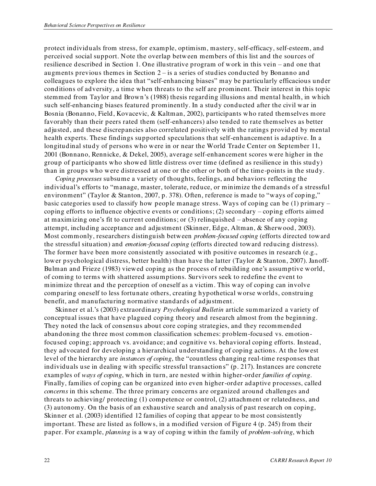protect individuals from stress, for example, optimism, mastery, self-efficacy, self-esteem, and perceived social support. Note the overlap between members of this list and the sources of resilience described in Section 1. One illustrative program of work in this vein – and one that augments previous themes in Section 2 – is a series of studies conducted by Bonanno and colleagues to explore the idea that "self-enhancing biases" may be particularly efficacious under conditions of adversity, a time when threats to the self are prominent. Their interest in this topic stemmed from Taylor and Brown's (1988) thesis regarding illusions and mental health, in which such self-enhancing biases featured prominently. In a study conducted after the civil war in Bosnia (Bonanno, Field, Kovacevic, & Kaltman, 2002), participants who rated themselves more favorably than their peers rated them (self-enhancers) also tended to rate themselves as better adjusted, and these discrepancies also correlated positively with the ratings provid ed by mental health experts. These findings supported speculations that self-enhancement is adaptive. In a longitudinal study of persons who were in or near the World Trade Center on September 11, 2001 (Bonnano, Rennicke, & Dekel, 2005), average self-enhancement scores were higher in the group of participants who showed little distress over time (defined as resilience in this study) than in groups who were distressed at one or the other or both of the time-points in the study.

*Coping processes* subsume a variety of thoughts, feelings, and behaviors reflecting the individual's efforts to "manage, master, tolerate, reduce, or minimize the demands of a stressful environment" (Taylor & Stanton, 2007, p. 378). Often, reference is made to "ways of coping," basic categories used to classify how people manage stress. Ways of coping can be (1) primary – coping efforts to influence objective events or conditions; (2) secondary – coping efforts aimed at maximizing one's fit to current conditions; or (3) relinquished – absence of any coping attempt, including acceptance and adjustment (Skinner, Edge, Altman, & Sherwood, 2003). Most commonly, researchers distinguish between *problem-focused coping* (efforts directed toward the stressful situation) and *emotion-focused coping* (efforts directed toward reducing distress). The former have been more consistently associated with positive outcomes in research (e.g., lower psychological distress, better health) than have the latter (Taylor & Stanton, 2007). Janoff-Bulman and Frieze (1983) viewed coping as the process of rebuilding one's assumptive world, of coming to terms with shattered assumptions. Survivors seek to redefine the event to minimize threat and the perception of oneself as a victim. This way of coping can involve comparing oneself to less fortunate others, creating hypothetical worse worlds, construing benefit, and manufacturing normative standards of adjustment.

Skinner et al.'s (2003) extraordinary *Psychological Bulletin* article summarized a variety of conceptual issues that have plagued coping theory and research almost from the beginning. They noted the lack of consensus about core coping strategies, and they recommended abandoning the three most common classification schemes: problem-focused vs. emotionfocused coping; approach vs. avoidance; and cognitive vs. behavioral coping efforts. Instead, they advocated for developing a hierarchical understanding of coping actions. At the lowest level of the hierarchy are *instances of coping*, the "countless changing real-time responses that individuals use in dealing with specific stressful transactions"  $(p. 217)$ . Instances are concrete examples of *ways of coping*, which in turn, are nested within higher-order *families of coping*. Finally, families of coping can be organized into even higher-order adaptive processes, called *concerns* in this scheme. The three primary concerns are organized around challenges and threats to achieving/ protecting (1) competence or control, (2) attachment or relatedness, and (3) autonomy*.* On the basis of an exhaustive search and analysis of past research on coping, Skinner et al. (2003) identified 12 families of coping that appear to be most consistently important. These are listed as follows, in a modified version of Figure 4 (p. 245) from their paper. For example, *planning* is a way of coping within the family of *problem-solving*, which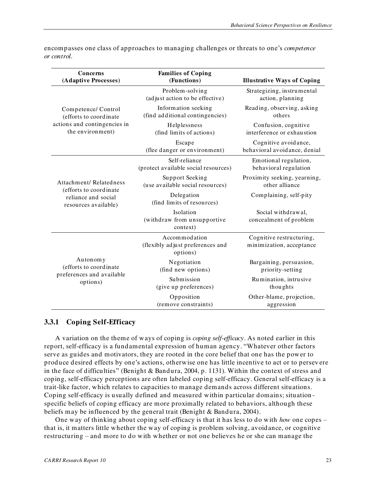| Concerns<br>(Adaptive Processes)                                | <b>Families of Coping</b><br>(Functions)                      | <b>Illustrative Ways of Coping</b>                   |
|-----------------------------------------------------------------|---------------------------------------------------------------|------------------------------------------------------|
|                                                                 | Problem-solving<br>(adjust action to be effective)            | Strategizing, instrumental<br>action, planning       |
| Competence/ Control<br>(efforts to coordinate                   | Information seeking<br>(find additional contingencies)        | Reading, observing, asking<br>others                 |
| actions and contingencies in<br>the environment)                | Helplessness<br>(find limits of actions)                      | Confusion, cognitive<br>interference or exhaustion   |
|                                                                 | Escape<br>(flee danger or environment)                        | Cognitive avoidance,<br>behavioral avoidance, denial |
|                                                                 | Self-reliance<br>(protect available social resources)         | Emotional regulation,<br>behavioral regulation       |
| Attachment/Relatedness<br>(efforts to coordinate                | Support Seeking<br>(use available social resources)           | Proximity seeking, yearning,<br>other alliance       |
| reliance and social<br>resources available)                     | Delegation<br>(find limits of resources)                      | Complaining, self-pity                               |
|                                                                 | Isolation<br>(withdraw from unsupportive<br>context)          | Social withdrawal,<br>concealment of problem         |
|                                                                 | Accommodation<br>(flexibly adjust preferences and<br>options) | Cognitive restructuring,<br>minimization, acceptance |
| Autonomy<br>(efforts to coordinate<br>preferences and available | Negotiation<br>(find new options)                             | Bargaining, persuasion,<br>priority-setting          |
| options)                                                        | Submission<br>(give up preferences)                           | Rumination, intrusive<br>thoughts                    |
|                                                                 | Opposition<br>(remove constraints)                            | Other-blame, projection,<br>aggression               |

encompasses one class of approaches to managing challenges or threats to one's *competence or control*.

#### <span id="page-36-0"></span>**3.3.1 Coping Self-Efficacy**

A variation on the theme of ways of coping is *coping self-efficacy*. As noted earlier in this report, self-efficacy is a fundamental expression of human agency. "Whatever other factors serve as guides and motivators, they are rooted in the core belief that one has the power to produce desired effects by one's actions, otherwise one has little incentive to act or to persev ere in the face of difficulties" (Benight & Bandura, 2004, p. 1131). Within the context of stress and coping, self-efficacy perceptions are often labeled coping self-efficacy. General self-efficacy is a trait-like factor, which relates to capacities to manage demands across different situations. Coping self-efficacy is usually defined and measured within particular domains; situation specific beliefs of coping efficacy are more proximally related to behaviors, although these beliefs may be influenced by the general trait (Benight & Bandura, 2004).

One way of thinking about coping self-efficacy is that it has less to do with *how* one copes – that is, it matters little whether the way of coping is problem solving, avoidance, or cognitive restructuring – and more to do with whether or not one believes he or she can manage the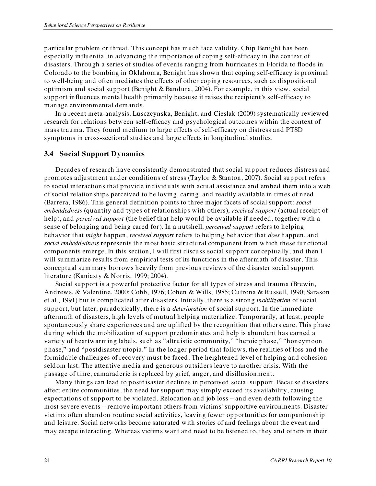particular problem or threat. This concept has much face validity. Chip Benight has been especially influential in advancing the importance of coping self-efficacy in the context of disasters. Through a series of studies of events ranging from hurricanes in Florida to floods in Colorado to the bombing in Oklahoma, Benight has shown that coping self-efficacy is proximal to well-being and often mediates the effects of other coping resources, such as dispositional optimism and social support (Benight & Bandura, 2004). For example, in this view, social support influences mental health primarily because it raises the recipient's self-efficacy to manage environmental demands.

In a recent meta-analysis, Lusczcynska, Benight, and Cieslak (2009) systematically reviewed research for relations between self-efficacy and psychological outcomes within the context of mass trauma. They found medium to large effects of self-efficacy on distress and PTSD symptoms in cross-sectional studies and large effects in longitudinal studies.

#### <span id="page-37-0"></span>**3.4 Social Support Dynamics**

Decades of research have consistently demonstrated that social support reduces distress and promotes adjustment under conditions of stress (Taylor & Stanton, 2007). Social support refers to social interactions that provide individuals with actual assistance and embed them into a web of social relationships perceived to be loving, caring, and readily available in times of need (Barrera, 1986). This general definition points to three major facets of social support: *social embeddedness* (quantity and types of relationships with others), *received support* (actual receipt of help), and *perceived support* (the belief that help would be available if needed, together with a sense of belonging and being cared for). In a nutshell, *perceived support* refers to helping behavior that *might* happen, *received support* refers to helping behavior that *does* happen, and *social embeddedness* represents the most basic structural component from which these functional components emerge. In this section, I will first discuss social support conceptually, and then I will summarize results from empirical tests of its functions in the aftermath of disaster. This conceptual summary borrows heavily from previous reviews of the disaster social support literature (Kaniasty & Norris, 1999; 2004).

Social support is a powerful protective factor for all types of stress and trauma (Brewin, Andrews, & Valentine, 2000; Cobb, 1976; Cohen & Wills, 1985; Cutrona & Russell, 1990; Sarason et al., 1991) but is complicated after disasters. Initially, there is a strong *mobilization* of social support, but later, paradoxically, there is a *deterioration* of social support. In the immediate aftermath of disasters, high levels of mutual helping materialize. Temporarily, at least, people spontaneously share experiences and are uplifted by the recognition that others care. This phase during which the mobilization of support predominates and help is abundant has earned a variety of heartwarming labels, such as "altruistic community," "heroic phase," "honeymoon phase," and "postdisaster utopia." In the longer period that follows, the realities of loss and the formidable challenges of recovery must be faced. The heightened level of helping and cohesion seldom last. The attentive media and generous outsiders leave to another crisis. With the passage of time, camaraderie is replaced by grief, anger, and disillusionment.

Many things can lead to postdisaster declines in perceived social support. Because disasters affect entire communities, the need for support may simply exceed its availability, causing expectations of support to be violated. Relocation and job loss – and even death following the most severe events – remove important others from victims' supportive environments. Disaster victims often abandon routine social activities, leaving fewer opportunities for companionship and leisure. Social networks become saturated with stories of and feelings about the event and may escape interacting. Whereas victims want and need to be listened to, they and others in their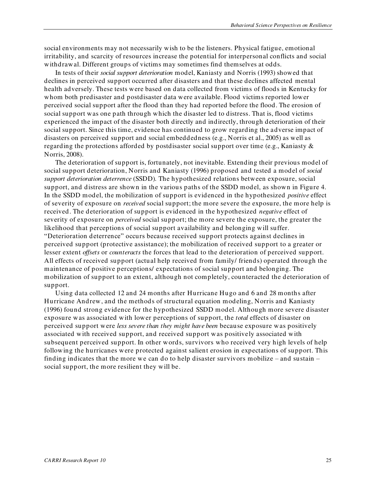social environments may not necessarily wish to be the listeners. Physical fatigue, emotional irritability, and scarcity of resources increase the potential for interpersonal conflicts and social withdrawal. Different groups of victims may sometimes find themselves at odds.

In tests of their *social support deterioration* model, Kaniasty and Norris (1993) showed that declines in perceived support occurred after disasters and that these declines affected mental health adversely. These tests were based on data collected from victims of floods in Kentucky for whom both predisaster and postdisaster data were available. Flood victims reported lower perceived social support after the flood than they had reported before the flood. The erosion of social support was one path through which the disaster led to distress. That is, flood victims experienced the impact of the disaster both directly and indirectly, through deterioration of their social support. Since this time, evidence has continued to grow regarding the adverse impact of disasters on perceived support and social embeddedness (e.g., Norris et al., 2005) as well as regarding the protections afforded by postdisaster social support over time (e.g., Kaniasty & Norris, 2008).

The deterioration of support is, fortunately, not inevitable. Extending their previous model of social support deterioration, Norris and Kaniasty (1996) proposed and tested a model of *social support deterioration deterrence* (SSDD)*.* The hypothesized relations between exposure, social support, and distress are shown in the various paths of the SSDD model, as shown in Figure 4. In the SSDD model, the mobilization of support is evidenced in the hypothesized *positive* effect of severity of exposure on *received* social support; the more severe the exposure, the more help is received. The deterioration of support is evidenced in the hypothesized *negative* effect of severity of exposure on *perceived* social support; the more severe the exposure, the greater the likelihood that perceptions of social support availability and belonging will suffer. ―Deterioration deterrence‖ occurs because received support protects against declines in perceived support (protective assistance); the mobilization of received support to a greater or lesser extent *offsets* or *counteracts* the forces that lead to the deterioration of perceived support. All effects of received support (actual help received from family/ friends) operated through the maintenance of positive perceptions/ expectations of social support and belonging. The mobilization of support to an extent, although not completely, counteracted the deterioration of support.

Using data collected 12 and 24 months after Hurricane Hugo and 6 and 28 months after Hurricane Andrew, and the methods of structural equation modeling, Norris and Kaniasty (1996) found strong evidence for the hypothesized SSDD model. Although more severe disaster exposure was associated with lower perceptions of support, the *total* effects of disaster on perceived support were *less severe than they might have been* because exposure was positively associated with received support, and received support was positively associated with subsequent perceived support. In other words, survivors who received very high levels of help following the hurricanes were protected against salient erosion in expectations of support. This finding indicates that the more we can do to help disaster survivors mobilize – and sustain – social support, the more resilient they will be.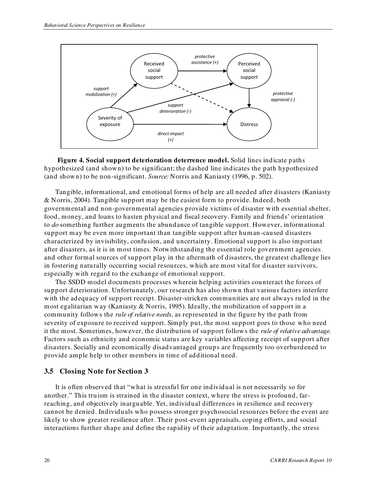

<span id="page-39-1"></span>**Figure 4. Social support deterioration deterrence model.** Solid lines indicate paths hypothesized (and shown) to be significant; the dashed line indicates the path hypothesized (and shown) to be non-significant. *Source:* Norris and Kaniasty (1996, p. 502).

Tangible, informational, and emotional forms of help are all needed after disasters (Kaniasty & Norris, 2004). Tangible support may be the easiest form to provide. Indeed, both governmental and non-governmental agencies provide victims of disaster with essential shelter, food, money, and loans to hasten physical and fiscal recovery. Family and friends' orientation to *do* something further augments the abundance of tangible support. However, informational support may be even more important than tangible support after human -caused disasters characterized by invisibility, confusion, and uncertainty. Emotional support is also important after disasters, as it is in most times. Notwithstanding the essential role government agencies and other formal sources of support play in the aftermath of disasters, the greatest challenge lies in fostering naturally occurring social resources, which are most vital for disaster survivors, especially with regard to the exchange of emotional support.

The SSDD model documents processes wherein helping activities counteract the forces of support deterioration. Unfortunately, our research has also shown that various factors interfere with the adequacy of support receipt. Disaster-stricken communities are not always ruled in the most egalitarian way (Kaniasty & Norris, 1995). Ideally, the mobilization of support in a community follows the *rule of relative needs*, as represented in the figure by the path from severity of exposure to received support. Simply put, the most support goes to those who need it the most. Sometimes, however, the distribution of support follows the *rule of relative advantage.*  Factors such as ethnicity and economic status are key variables affecting receipt of support after disasters. Socially and economically disadvantaged groups are frequently too overburdened to provide ample help to other members in time of additional need.

#### <span id="page-39-0"></span>**3.5 Closing Note for Section 3**

It is often observed that "what is stressful for one individual is not necessarily so for another." This truism is strained in the disaster context, where the stress is profound, farreaching, and objectively inarguable. Yet, individual differences in resilience and recovery cannot be denied. Individuals who possess stronger psychosocial resources before the event are likely to show greater resilience after. Their post-event appraisals, coping efforts, and social interactions further shape and define the rapidity of their adaptation. Importantly, the stress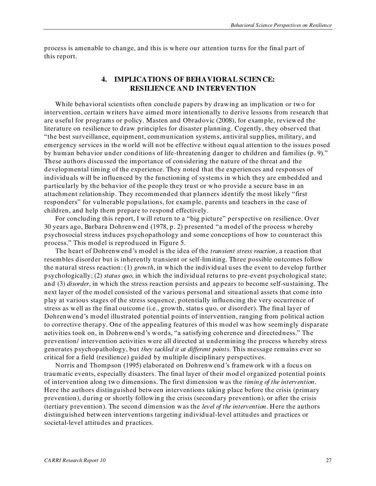process is amenable to change, and this is where our attention turns for the final part of this report.

#### <span id="page-40-0"></span>**4. IMPLICATIONS OF BEHAVIORAL SCIENCE: RESILIENCE AND INTERVENTION**

While behavioral scientists often conclude papers by drawing an implication or two for intervention, certain writers have aimed more intentionally to derive lessons from research that are useful for programs or policy. Masten and Obradovic (2008), for example, reviewed the literature on resilience to draw principles for disaster planning. Cogently, they observed that ―the best surveillance, equipment, communication systems, antiviral supplies, military, and emergency services in the world will not be effective without equal attention to the issues posed by human behavior under conditions of life-threatening danger to children and families (p. 9)." These authors discussed the importance of considering the nature of the threat and the developmental timing of the experience. They noted that the experiences and responses of individuals will be influenced by the functioning of systems in which they are embedded and particularly by the behavior of the people they trust or who provide a secure base in an attachment relationship. They recommended that planners identify the most likely "first responders" for vulnerable populations, for example, parents and teachers in the case of children, and help them prepare to respond effectively.

For concluding this report, I will return to a "big picture" perspective on resilience. Over  $30$  years ago, Barbara Dohrenwend (1978, p. 2) presented "a model of the process whereby psychosocial stress induces psychopathology and some conceptions of how to counteract this process.‖ This model is reproduced in Figure 5.

The heart of Dohrenwend's model is the idea of the *transient stress reaction*, a reaction that resembles disorder but is inherently transient or self-limiting. Three possible outcomes follow the natural stress reaction: (1) *growth*, in which the individual uses the event to develop further psychologically; (2) *status quo*, in which the individual returns to pre-event psychological state; and (3) *disorder*, in which the stress reaction persists and ap pears to become self-sustaining. The next layer of the model consisted of the various personal and situational assets that come into play at various stages of the stress sequence, potentially influencing the very occurrence of stress as well as the final outcome (i.e., growth, status quo, or disorder). The final layer of Dohrenwend's model illustrated potential points of intervention, ranging from political action to corrective therapy. One of the appealing features of this model was how seemingly disparate activities took on, in Dohrenwend's words, "a satisfying coherence and directedness." The prevention/ intervention activities were all directed at undermining the process whereby stress generates psychopathology, but *they tackled it at different points.* This message remains ever so critical for a field (resilience) guided by multiple disciplinary perspectives.

Norris and Thompson (1995) elaborated on Dohrenwend's framework with a focus on traumatic events, especially disasters. The final layer of their mod el organized potential points of intervention along two dimensions. The first dimension was the *timing of the intervention*. Here the authors distinguished between interventions taking place before the crisis (primary prevention), during or shortly following the crisis (secondary prevention), or after the crisis (tertiary prevention). The second dimension was the *level of the intervention*. Here the authors distinguished between interventions targeting individual-level attitudes and practices or societal-level attitudes and practices.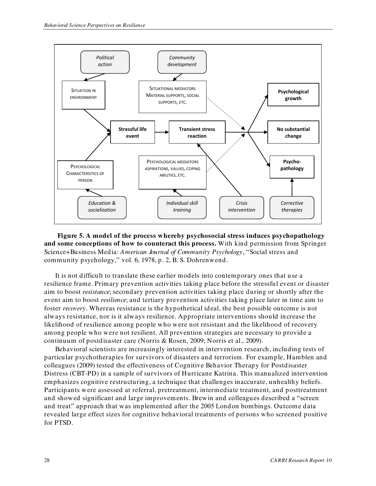

<span id="page-41-0"></span>**Figure 5. A model of the process whereby psychosocial stress induces psychopathology and some conceptions of how to counteract this process.** With kind permission from Springer Science+Business Media: *American Journal of Community Psychology*, "Social stress and community psychology," vol. 6, 1978, p. 2, B. S. Dohrenwend.

It is not difficult to translate these earlier models into contemporary ones that use a resilience frame. Primary prevention activities taking place before the stressful event or disaster aim to boost *resistance*; secondary prevention activities taking place during or shortly after the event aim to boost *resilience*; and tertiary prevention activities taking place later in time aim to foster *recovery*. Whereas resistance is the hypothetical ideal, the best possible outcome is not always resistance, nor is it always resilience. Appropriate interventions should increase the likelihood of resilience among people who were not resistant and the likelihood of recovery among people who were not resilient. All prevention strategies are necessary to provide a continuum of postdisaster care (Norris & Rosen, 2009; Norris et al., 2009).

Behavioral scientists are increasingly interested in intervention research, including tests of particular psychotherapies for survivors of disasters and terrorism. For example, Hamblen and colleagues (2009) tested the effectiveness of Cognitive Behavior Therapy for Postdisaster Distress (CBT-PD) in a sample of survivors of Hurricane Katrina. This manualized intervention emphasizes cognitive restructuring, a technique that challenges inaccurate, unhealthy beliefs. Participants were assessed at referral, pretreatment, intermediate treatment, and posttreatment and showed significant and large improvements. Brewin and colleagues described a "screen and treat" approach that was implemented after the 2005 London bombings. Outcome data revealed large effect sizes for cognitive behavioral treatments of persons who screened positive for PTSD.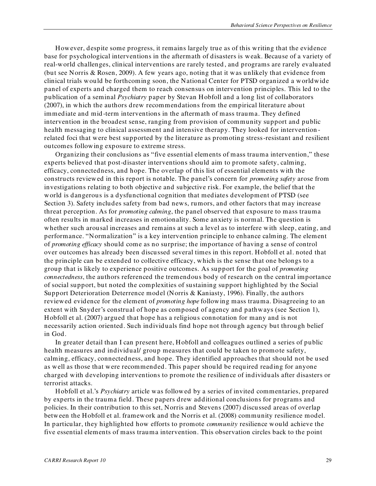However, despite some progress, it remains largely true as of this writing that the evidence base for psychological interventions in the aftermath of disasters is weak. Because of a variety of real-world challenges, clinical interventions are rarely tested , and programs are rarely evaluated (but see Norris & Rosen, 2009). A few years ago, noting that it was unlikely that evidence from clinical trials would be forthcoming soon, the National Center for PTSD organized a worldwide panel of experts and charged them to reach consensus on intervention principles. This led to the publication of a seminal *Psychiatry* paper by Stevan Hobfoll and a long list of collaborators (2007), in which the authors drew recommendations from the empirical literature about immediate and mid -term interventions in the aftermath of mass trauma. They defined intervention in the broadest sense, ranging from provision of community support and public health messaging to clinical assessment and intensive therapy. They looked for intervention related foci that were best supported by the literature as promoting stress-resistant and resilient outcomes following exposure to extreme stress.

Organizing their conclusions as "five essential elements of mass trauma intervention," these experts believed that post-disaster interventions should aim to promote safety, calming, efficacy, connectedness, and hope. The overlap of this list of essential elements with the constructs reviewed in this report is notable. The panel's concern for *promoting safety* arose from investigations relating to both objective and subjective risk. For example, the belief that the world is dangerous is a dysfunctional cognition that mediates development of PTSD (see Section 3). Safety includes safety from bad news, rumors, and other factors that may increase threat perception. As for *promoting calming*, the panel observed that exposure to mass trauma often results in marked increases in emotionality. Some anxiety is normal. The question is whether such arousal increases and remains at such a level as to interfere with sleep, eating, and performance. "Normalization" is a key intervention principle to enhance calming. The element of *promoting efficacy* should come as no surprise; the importance of having a sense of control over outcomes has already been discussed several times in this report. Hobfoll et al. noted that the principle can be extended to collective efficacy, which is the sense that one belongs to a group that is likely to experience positive outcomes. As support for the goal of *promoting connectedness*, the authors referenced the tremendous body of research on the central importance of social support, but noted the complexities of sustaining support highlighted by the Social Support Deterioration Deterrence model (Norris & Kaniasty, 1996). Finally, the authors reviewed evidence for the element of *promoting hope* following mass trauma. Disagreeing to an extent with Snyder's construal of hope as composed of agency and pathways (see Section 1), Hobfoll et al. (2007) argued that hope has a religious connotation for many and is not necessarily action oriented. Such individuals find hope not through agency but through belief in God.

In greater detail than I can present here, Hobfoll and colleagues outlined a series of public health measures and individual/ group measures that could be taken to promote safety, calming, efficacy, connectedness, and hope. They identified approaches that should not be used as well as those that were recommended. This paper should be required reading for anyone charged with developing interventions to promote the resilien ce of individuals after disasters or terrorist attacks.

Hobfoll et al.'s *Psychiatry* article was followed by a series of invited commentaries, prepared by experts in the trauma field. These papers drew additional conclusions for programs and policies. In their contribution to this set, Norris and Stevens (2007) discussed areas of overlap between the Hobfoll et al. framework and the Norris et al. (2008) community resilience model. In particular, they highlighted how efforts to promote *community* resilience would achieve the five essential elements of mass trauma intervention. This observation circles back to the point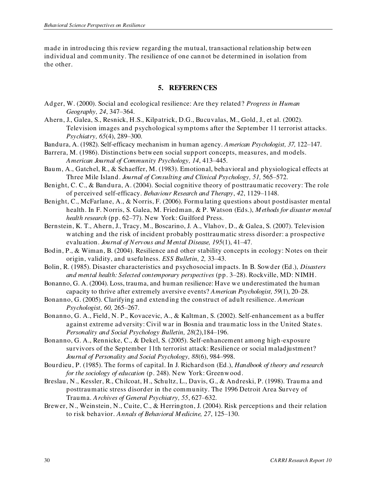made in introducing this review regarding the mutual, transactional relationship between individual and community. The resilience of one cann ot be determined in isolation from the other.

# **5. REFERENCES**

- <span id="page-43-0"></span>Adger, W. (2000). Social and ecological resilience: Are they related? *Progress in Human Geography, 24*, 347–364.
- Ahern, J., Galea, S., Resnick, H.S., Kilpatrick, D.G., Bucuvalas, M., Gold, J., et al. (2002). Television images and psychological symptoms after the September 11 terrorist attacks. *Psychiatry, 65*(4), 289–300.
- Bandura, A. (1982). Self-efficacy mechanism in human agency. *American Psychologist, 37,* 122–147.
- Barrera, M. (1986). Distinctions between social support concepts, measures, and models. *American Journal of Community Psychology, 14*, 413–445.
- Baum, A., Gatchel, R., & Schaeffer, M. (1983). Emotional, behavioral and physiological effects at Three Mile Island. *Journal of Consulting and Clinical Psychology, 51,* 565–572.
- Benight, C. C., & Bandura, A. (2004). Social cognitive theory of posttraumatic recovery: The role of perceived self-efficacy. *Behaviour Research and Therapy*, *42*, 1129–1148.
- Benight, C., McFarlane, A., & Norris, F. (2006). Formu lating questions about postdisaster mental health. In F. Norris, S. Galea, M. Friedman, & P. Watson (Eds.), *Methods for disaster mental health research* (pp. 62–77). New York: Guilford Press.
- Bernstein, K. T., Ahern, J., Tracy, M., Boscarino, J. A., Vlahov, D., & Galea, S. (2007). Television watching and the risk of incident probably posttraumatic stress disorder: a prospective evaluation. *Journal of Nervous and Mental Disease, 195*(1), 41–47.
- Bodin, P., & Wiman, B. (2004). Resilience and other stability concepts in ecology: Notes on their origin, validity, and usefulness. *ESS Bulletin, 2,* 33–43.
- Bolin, R. (1985). Disaster characteristics and psychosocial impacts. In B. Sowder (Ed.), *Disasters and mental health: Selected contemporary perspectives* (pp. 3–28). Rockville, MD: NIMH.
- Bonanno, G. A. (2004). Loss, trauma, and human resilience: Have we underestimated the human capacity to thrive after extremely aversive events? *American Psychologist, 59*(1), 20–28.
- Bonanno, G. (2005). Clarifying and extend ing the construct of adult resilience. *American Psychologist, 60,* 265–267.
- Bonanno, G. A., Field, N. P., Kovacevic, A., & Kaltman, S. (2002). Self-enhancement as a buffer against extreme adversity: Civil war in Bosnia and traumatic loss in the United State s. *Personality and Social Psychology Bulletin, 28*(2),184–196.
- Bonanno, G. A., Rennicke, C., & Dekel, S. (2005). Self-enhancement among high-exposure survivors of the September 11th terrorist attack: Resilience or social maladjustment? *Journal of Personality and Social Psychology, 88*(6), 984–998.
- Bourdieu, P. (1985). The forms of capital. In J. Richardson (Ed.), *Handbook of theory and research for the sociology of education* (p. 248). New York: Greenwood.
- Breslau, N., Kessler, R., Chilcoat, H., Schultz, L., Davis, G., & Andreski, P. (1998). Trauma and posttraumatic stress disorder in the community. The 1996 Detroit Area Survey of Trauma. *Archives of General Psychiatry, 55*, 627–632.
- Brewer, N., Weinstein, N., Cuite, C., & Herrington, J. (2004). Risk perceptions and their relation to risk behavior. *Annals of Behavioral Medicine, 27*, 125–130.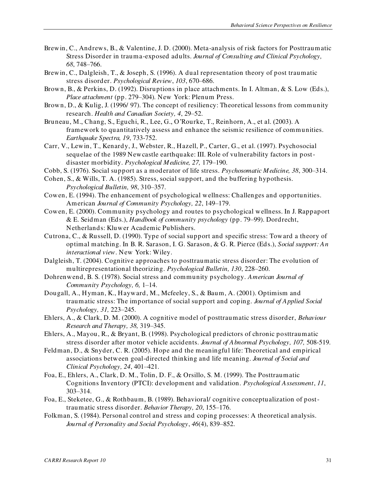- Brewin, C., Andrews, B., & Valentine, J. D. (2000). Meta-analysis of risk factors for Posttraum atic Stress Disorder in trauma-exposed adults. *Journal of Consulting and Clinical Psychology, 68*, 748–766.
- Brewin, C., Dalgleish, T., & Joseph, S. (1996). A dual representation theory of post traumatic stress disorder. *Psychological Review*, *103*, 670–686.
- Brown, B., & Perkins, D. (1992). Disruptions in place attachments. In I. Altman, & S. Low (Eds.), *Place attachment* (pp. 279–304)*.* New York: Plenum Press.
- Brown, D., & Kulig, J. (1996/ 97). The concept of resiliency: Theoretical lessons from community research. *Health and Canadian Society, 4*, 29–52.
- Bruneau, M., Chang, S., Eguchi, R., Lee, G., O'Rourke, T., Reinhorn, A., et al. (2003). A framework to quantitatively assess and enhance the seismic resilience of communities. *Earthquake Spectra, 19*, 733-752.
- Carr, V., Lewin, T., Kenardy, J., Webster, R., Hazell, P., Carter, G., et al. (1997). Psychosocial sequelae of the 1989 Newcastle earthquake: III. Role of vulnerability factors in postdisaster morbidity. *Psychological Medicine, 27,* 179–190.
- Cobb, S. (1976). Social support as a moderator of life stress. *Psychosomatic Medicine, 38*, 300–314.
- Cohen, S., & Wills, T. A. (1985). Stress, social support, and the buffering hypothesis. *Psychological Bulletin, 98*, 310–357.
- Cowen, E. (1994). The enhancement of psychological wellness: Challenges and opportunities. American *Journal of Community Psychology, 22*, 149–179.
- Cowen, E. (2000). Community psychology and routes to psychological wellness. In J. Rappaport & E. Seidman (Eds.), *Handbook of community psychology* (pp. 79–99). Dordrecht, Netherlands: Kluwer Academic Publishers.
- Cutrona, C., & Russell, D. (1990). Type of social support and specific stress: Toward a theory of optimal matching. In B. R. Sarason, I. G. Sarason, & G. R. Pierce (Eds.), *Social support: An interactional view*. New York: Wiley.
- Dalgleish, T. (2004). Cognitive approaches to posttraumatic stress disorder: The evolution of multirepresentational theorizing. *Psychological Bulletin, 130*, 228–260.
- Dohrenwend, B. S. (1978). Social stress and community psychology. *American Journal of Community Psychology, 6,* 1–14.
- Dougall, A., Hyman, K., Hayward, M., Mcfeeley, S., & Baum, A. (2001). Optimism and traumatic stress: The importance of social support and coping. *Journal of Applied Social Psychology, 31,* 223–245.
- Ehlers, A., & Clark, D. M. (2000). A cognitive model of posttraumatic stress disorder, *Behaviour Research and Therapy, 38,* 319–345.
- Ehlers, A., Mayou, R., & Bryant, B. (1998). Psychological predictors of chronic posttraumatic stress disorder after motor vehicle accidents. *Journal of Abnormal Psychology, 107,* 508-519.
- Feldman, D., & Snyder, C. R. (2005). Hope and the meaningful life: Theoretical and empirical associations between goal-directed thinking and life meaning. *Journal of Social and Clinical Psychology, 24*, 401–421.
- Foa, E., Ehlers, A., Clark, D. M., Tolin, D. F., & Orsillo, S. M. (1999). The Posttraumatic Cognitions Inventory (PTCI): development and validation. *Psychological Assessment*, *11*, 303–314.
- Foa, E., Steketee, G., & Rothbaum, B. (1989). Behavioral/ cognitive conceptualization of posttraumatic stress disorder. *Behavior Therapy, 20*, 155–176.
- Folkman, S. (1984). Personal control and stress and coping processes: A theoretical analysis. *Journal of Personality and Social Psychology*, *46*(4), 839–852.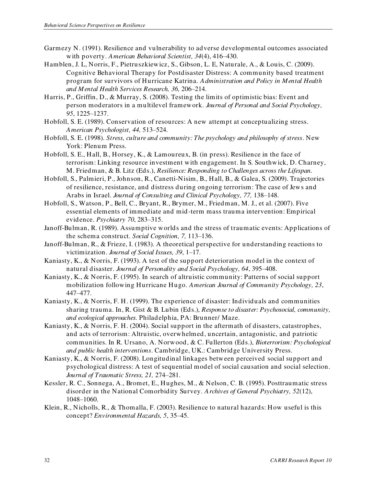- Garmezy N. (1991). Resilience and vulnerability to adverse developmental outcomes associated with poverty. *American Behavioral Scientist, 34*(4), 416–430.
- Hamblen, J. L, Norris, F., Pietruszkiewicz, S., Gibson, L. E, Naturale, A., & Louis, C. (2009). Cognitive Behavioral Therapy for Postdisaster Distress: A community based treatment program for survivors of Hurricane Katrina. *Administration and Policy in Mental Health and Mental Health Services Research, 36,* 206–214.
- Harris, P., Griffin, D., & Murray, S. (2008). Testing the limits of optimistic bias: Event and person moderators in a multilevel framework. *Journal of Personal and Social Psychology, 95*, 1225–1237.
- Hobfoll, S. E. (1989). Conservation of resources: A new attempt at conceptualizing stress. *American Psychologist, 44,* 513–524.
- Hobfoll, S. E. (1998). *Stress, culture and community: The psychology and philosophy of stress*. New York: Plenum Press.
- Hobfoll, S. E., Hall, B., Horsey, K., & Lamoureux, B. (in press). Resilience in the face of terrorism: Linking resource investment with engagement. In S. Southwick, D. Charney, M. Friedman, & B. Litz (Eds.), *Resilience: Responding to Challenges across the Lifespan.*
- Hobfoll, S., Palmieri, P., Johnson, R., Canetti-Nisim, B., Hall, B., & Galea, S. (2009). Trajectories of resilience, resistance, and distress during ongoing terrorism: The case of Jews and Arabs in Israel. *Journal of Consulting and Clinical Psychology, 77,* 138–148.
- Hobfoll, S., Watson, P., Bell, C., Bryant, R., Brymer, M., Friedman, M. J., et al. (2007). Five essential elements of immediate and mid -term mass trauma intervention: Empirical evidence. *Psychiatry 70*, 283–315.
- Janoff-Bulman, R. (1989). Assumptive worlds and the stress of traumatic events: Applications of the schema construct. *Social Cognition, 7,* 113–136.
- Janoff-Bulman, R., & Frieze, I. (1983). A theoretical perspective for understanding reactions to victimization. *Journal of Social Issues, 39*, 1–17.
- Kaniasty, K., & Norris, F. (1993). A test of the support deterioration model in the context of natural disaster. *Journal of Personality and Social Psychology, 64*, 395–408.
- Kaniasty, K., & Norris, F. (1995). In search of altruistic community: Patterns of social support mobilization following Hurricane Hugo. *American Journal of Community Psychology, 23*, 447–477.
- Kaniasty, K., & Norris, F. H. (1999). The experience of disaster: Individuals and communities sharing trauma. In, R. Gist & B. Lubin (Eds.), *Response to disaster: Psychosocial, community, and ecological approaches.* Philadelphia, PA: Brunner/ Maze.
- Kaniasty, K., & Norris, F. H. (2004). Social support in the aftermath of disasters, catastrophes, and acts of terrorism: Altruistic, overwhelmed, uncertain, antagonistic, and patriotic communities. In R. Ursano, A. Norwood, & C. Fullerton (Eds.), *Bioterrorism: Psychological and public health interventions*. Cambridge, UK.: Cambridge University Press.
- Kaniasty, K., & Norris, F. (2008). Longitudinal linkages between perceived social support and psychological distress: A test of sequential model of social causation and social selection. *Journal of Traumatic Stress, 21,* 274–281.
- Kessler, R. C., Sonnega, A., Bromet, E., Hughes, M., & Nelson, C. B. (1995). Posttraumatic stress disorder in the National Comorbidity Survey. *Archives of General Psychiatry, 52*(12), 1048–1060.
- Klein, R., Nicholls, R., & Thomalla, F. (2003). Resilience to natural hazards: How useful is this concept? *Environmental Hazards, 5*, 35–45.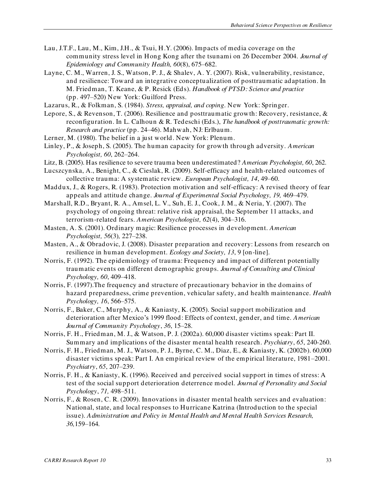- Lau, J.T.F., Lau, M., Kim, J.H., & Tsui, H.Y. (2006). Impacts of media coverage on the community stress level in Hong Kong after the tsunami on 26 December 2004. *Journal of Epidemiology and Community Health, 60*(8), 675–682.
- Layne, C. M., Warren, J. S., Watson, P. J., & Shalev, A. Y. (2007). Risk, vulnerability, resistance, and resilience: Toward an integrative conceptualization of posttraumatic adaptation. In M. Friedman, T. Keane, & P. Resick (Eds). *Handbook of PTSD: Science and practice* (pp. 497–520) New York: Guilford Press.
- Lazarus, R., & Folkman, S. (1984). *Stress, appraisal, and coping*. New York: Springer.
- Lepore, S., & Revenson, T. (2006). Resilience and posttraumatic growth: Recovery, resistance, & reconfiguration. In L. Calhoun & R. Tedeschi (Eds.), *The handbook of posttraumatic growth: Research and practice* (pp. 24–46). Mahwah, NJ: Erlbaum.
- Lerner, M. (1980). The belief in a just world. New York: Plenum.
- Linley, P., & Joseph, S. (2005). The human capacity for growth through adversity. *American Psychologist, 60*, 262–264.
- Litz, B. (2005). Has resilience to severe trauma been underestimated? *American Psychologist, 60*, 262.
- Lucszcynska, A., Benight, C., & Cieslak, R. (2009). Self-efficacy and health-related outcomes of collective trauma: A systematic review. *European Psychologist, 14*, 49–60.
- Maddux, J., & Rogers, R. (1983). Protection motivation and self-efficacy: A revised theory of fear appeals and attitude change. *Journal of Experimental Social Psychology, 19,* 469–479.
- Marshall, R.D., Bryant, R. A., Amsel, L. V., Suh, E. J., Cook, J. M., & Neria, Y. (2007). The psychology of ongoing threat: relative risk appraisal, the September 11 attacks, and terrorism-related fears. *American Psychologist, 62*(4), 304–316.
- Masten, A. S. (2001). Ordinary magic: Resilience processes in development. *American Psychologist, 56*(3)*,* 227–238.
- Masten, A., & Obradovic, J. (2008). Disaster preparation and recovery: Lessons from research on resilience in human development. *Ecology and Society, 13*, 9 [on-line].
- Norris, F. (1992). The epidemiology of trauma: Frequency and impact of different potentially traumatic events on different demographic groups. *Journal of Consulting and Clinical Psychology, 60*, 409–418.
- Norris, F. (1997).The frequency and structure of precautionary behavior in the domains of hazard preparedness, crime prevention, vehicular safety, and health maintenance. *Health Psychology, 16*, 566–575.
- Norris, F., Baker, C., Murphy, A., & Kaniasty, K. (2005). Social support mobilization and deterioration after Mexico's 1999 flood: Effects of context, gender, and time*. American Journal of Community Psychology*, *36*, 15–28.
- Norris, F. H., Friedman, M. J., & Watson, P. J. (2002a). 60,000 disaster victims speak: Part II. Summary and implications of the disaster mental health research. *Psychiatry*, *65*, 240-260.
- Norris, F. H., Friedman, M. J., Watson, P. J., Byrne, C. M., Diaz, E., & Kaniasty, K. (2002b). 60,000 disaster victims speak: Part I. An empirical review of the empirical literature, 1981–2001. *Psychiatry*, *65*, 207–239.
- Norris, F. H., & Kaniasty, K. (1996). Received and perceived social support in times of stress: A test of the social support deterioration deterrence model. *Journal of Personality and Social Psychology*, *71,* 498–511.
- Norris, F., & Rosen, C. R. (2009). Innovations in disaster mental health services and evaluation: National, state, and local responses to Hurricane Katrina (Introduction to the special issue). *Administration and Policy in Mental Health and Mental Health Services Research, 36,*159–164*.*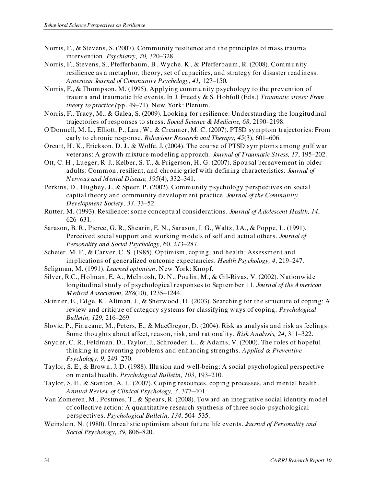- Norris, F., & Stevens, S. (2007). Community resilience and the principles of mass trauma intervention. *Psychiatry, 70,* 320–328.
- Norris, F., Stevens, S., Pfefferbaum, B., Wyche, K., & Pfefferbaum, R. (2008). Community resilience as a metaphor, theory, set of capacities, and strategy for disaster readiness. *American Journal of Community Psychology, 41,* 127–150*.*
- Norris, F., & Thompson, M. (1995). Applying community psychology to the prev ention of trauma and traumatic life events. In J. Freedy & S. Hobfoll (Eds.) *Traumatic stress: From theory to practice (*pp. 49–71). New York: Plenum.
- Norris, F., Tracy, M., & Galea, S. (2009). Looking for resilience: Understanding the longitudinal trajectories of responses to stress. *Social Science & Medicine, 68*, 2190–2198.
- O'Donnell, M. L., Elliott, P., Lau, W., & Creamer, M. C. (2007). PTSD symptom trajectories: From early to chronic response. *Behaviour Research and Therapy, 45*(3), 601–606.
- Orcutt, H. K., Erickson, D. J., & Wolfe, J. (2004). The course of PTSD symptoms among gulf war veterans: A growth mixture modeling approach. *Journal of Traumatic Stress, 17*, 195–202.
- Ott, C. H., Lueger, R. J., Kelber, S. T., & Prigerson, H. G. (2007). Spousal bereavement in older adults: Common, resilient, and chronic grief with defining characteristics. *Journal of Nervous and Mental Disease, 195*(4), 332–341.
- Perkins, D., Hughey, J., & Speer, P. (2002). Community psychology perspectives on social capital theory and community development practice. *Journal of the Community Development Society, 33*, 33–52.
- Rutter, M. (1993). Resilience: some conceptual considerations. *Journal of Adolescent Health, 14*, 626–631.
- Sarason, B. R., Pierce, G. R., Shearin, E. N., Sarason, I. G., Waltz, J.A., & Poppe, L. (1991). Perceived social support and working models of self and actual others. *Journal of Personality and Social Psychology,* 60, 273–287.
- Scheier, M. F., & Carver, C. S. (1985). Optimism, coping, and health: Assessment and implications of generalized outcome expectancies. *Health Psychology, 4*, 219–247.
- Seligman, M. (1991). *Learned optimism*. New York: Knopf.
- Silver, R.C., Holman, E. A., McIntosh, D. N., Poulin, M., & Gil-Rivas, V. (2002). Nationwide longitudinal study of psychological responses to September 11. *Journal of the American Medical Association, 288*(10), 1235–1244.
- Skinner, E., Edge, K., Altman, J., & Sherwood, H. (2003). Searching for the structure of coping: A review and critique of category systems for classifying ways of coping. *Psychological Bulletin, 129,* 216–269.
- Slovic, P., Finucane, M., Peters, E., & MacGregor, D. (2004). Risk as analysis and risk as feelings: Some thoughts about affect, reason, risk, and rationality. *Risk Analysis, 24*, 311–322.
- Snyder, C. R., Feldman, D., Taylor, J., Schroeder, L., & Adams, V. (2000). The roles of hopeful thinking in preventing problems and enhancing strengths. *Applied & Preventive Psychology, 9*, 249–270.
- Taylor, S. E., & Brown, J. D. (1988). Illusion and well-being: A social psychological perspective on mental health. *Psychological Bulletin, 103*, 193–210.
- Taylor, S. E., & Stanton, A. L. (2007). Coping resources, coping processes, and mental health. *Annual Review of Clinical Psychology, 3*, 377–401.
- Van Zomeren, M., Postmes, T., & Spears, R. (2008). Toward an integrative social identity model of collective action: A quantitative research synthesis of three socio-psychological perspectives. *Psychological Bulletin, 134*, 504–535.
- Weinslein, N. (1980). Unrealistic optimism about future life events. *Journal of Personality and Social Psychology, 39,* 806–820.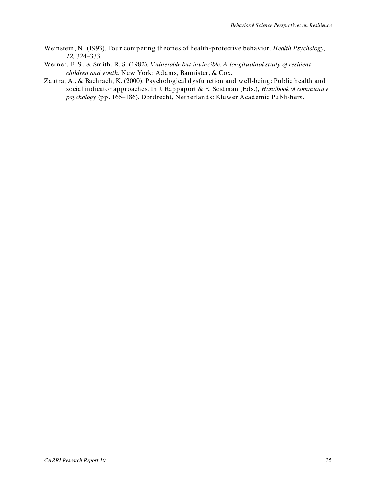- Weinstein, N. (1993). Four competing theories of health-protective behavior. *Health Psychology, 12,* 324–333.
- Werner, E. S., & Smith, R. S. (1982). *Vulnerable but invincible: A longitudinal study of resilient children and youth*. New York: Adams, Bannister, & Cox.
- Zautra, A., & Bachrach, K. (2000). Psychological dysfunction and well-being: Public health and social indicator approaches. In J. Rappaport & E. Seidman (Eds.), *Handbook of community psychology* (pp. 165–186). Dordrecht, Netherlands: Kluwer Academic Publishers.